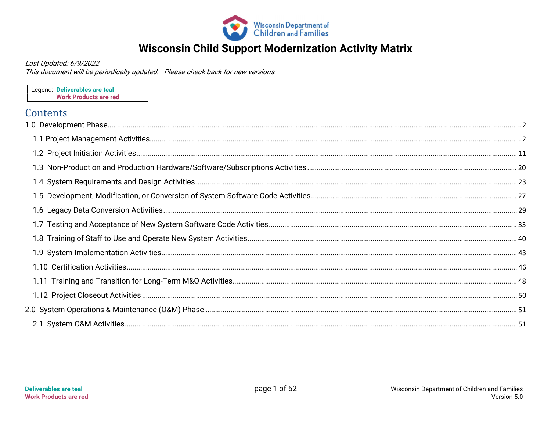

## **Wisconsin Child Support Modernization Activity Matrix**

Last Updated: 6/9/2022

This document will be periodically updated. Please check back for new versions.

Legend: Deliverables are teal **Work Products are red** 

#### Contents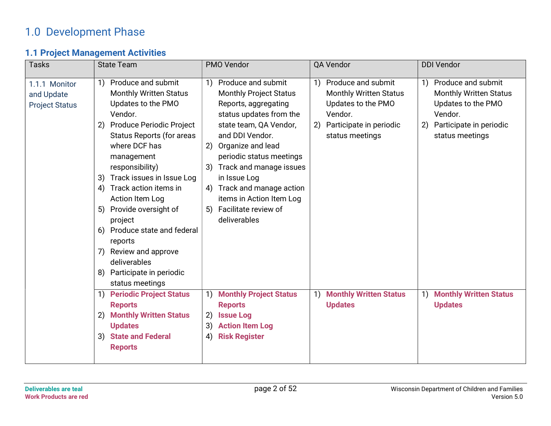## 1.0 Development Phase

### 1.1 Project Management Activities

| <b>Tasks</b>                                         | <b>State Team</b>                                                                                                                                                                                                                                                                                                                                                                                                                                                                            | PMO Vendor                                                                                                                                                                                                                                                                                                                                                             | QA Vendor                                                                                                                                      | <b>DDI Vendor</b>                                                                                                                              |  |
|------------------------------------------------------|----------------------------------------------------------------------------------------------------------------------------------------------------------------------------------------------------------------------------------------------------------------------------------------------------------------------------------------------------------------------------------------------------------------------------------------------------------------------------------------------|------------------------------------------------------------------------------------------------------------------------------------------------------------------------------------------------------------------------------------------------------------------------------------------------------------------------------------------------------------------------|------------------------------------------------------------------------------------------------------------------------------------------------|------------------------------------------------------------------------------------------------------------------------------------------------|--|
| 1.1.1 Monitor<br>and Update<br><b>Project Status</b> | Produce and submit<br>1)<br><b>Monthly Written Status</b><br>Updates to the PMO<br>Vendor.<br><b>Produce Periodic Project</b><br>(2)<br>Status Reports (for areas<br>where DCF has<br>management<br>responsibility)<br>Track issues in Issue Log<br>3)<br>Track action items in<br>4)<br>Action Item Log<br>5) Provide oversight of<br>project<br>Produce state and federal<br>6)<br>reports<br>Review and approve<br>7)<br>deliverables<br>Participate in periodic<br>8)<br>status meetings | Produce and submit<br>1)<br><b>Monthly Project Status</b><br>Reports, aggregating<br>status updates from the<br>state team, QA Vendor,<br>and DDI Vendor.<br>Organize and lead<br>2)<br>periodic status meetings<br>Track and manage issues<br>3)<br>in Issue Log<br>4) Track and manage action<br>items in Action Item Log<br>5) Facilitate review of<br>deliverables | Produce and submit<br>1)<br><b>Monthly Written Status</b><br>Updates to the PMO<br>Vendor.<br>Participate in periodic<br>2)<br>status meetings | Produce and submit<br>1)<br><b>Monthly Written Status</b><br>Updates to the PMO<br>Vendor.<br>2)<br>Participate in periodic<br>status meetings |  |
|                                                      | <b>Periodic Project Status</b><br>$\left( \begin{array}{c} 1 \end{array} \right)$<br><b>Reports</b><br><b>Monthly Written Status</b><br>2)<br><b>Updates</b><br><b>State and Federal</b><br>3)<br><b>Reports</b>                                                                                                                                                                                                                                                                             | <b>Monthly Project Status</b><br>1)<br><b>Reports</b><br><b>Issue Log</b><br>2)<br><b>Action Item Log</b><br>3)<br><b>Risk Register</b><br>4)                                                                                                                                                                                                                          | <b>Monthly Written Status</b><br>1)<br><b>Updates</b>                                                                                          | <b>Monthly Written Status</b><br><b>Updates</b>                                                                                                |  |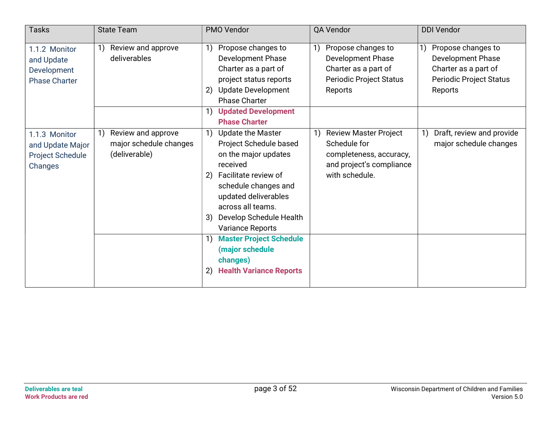| <b>Tasks</b>                                                       | <b>State Team</b>                                                                                               | PMO Vendor                                                                                                                                                                                                                                                  | QA Vendor                                                                                                                   | <b>DDI Vendor</b>                                                                                                   |
|--------------------------------------------------------------------|-----------------------------------------------------------------------------------------------------------------|-------------------------------------------------------------------------------------------------------------------------------------------------------------------------------------------------------------------------------------------------------------|-----------------------------------------------------------------------------------------------------------------------------|---------------------------------------------------------------------------------------------------------------------|
| 1.1.2 Monitor<br>and Update<br>Development<br><b>Phase Charter</b> | Review and approve<br>1)<br>deliverables                                                                        | Propose changes to<br>1)<br><b>Development Phase</b><br>Charter as a part of<br>project status reports<br><b>Update Development</b><br>2)<br><b>Phase Charter</b>                                                                                           | Propose changes to<br><b>Development Phase</b><br>Charter as a part of<br>Periodic Project Status<br>Reports                | Propose changes to<br><b>Development Phase</b><br>Charter as a part of<br><b>Periodic Project Status</b><br>Reports |
|                                                                    |                                                                                                                 | <b>Updated Development</b><br>1)<br><b>Phase Charter</b>                                                                                                                                                                                                    |                                                                                                                             |                                                                                                                     |
| 1.1.3 Monitor<br>and Update Major<br>Project Schedule<br>Changes   | Review and approve<br>$\left( \begin{matrix} 1 \end{matrix} \right)$<br>major schedule changes<br>(deliverable) | <b>Update the Master</b><br>1)<br>Project Schedule based<br>on the major updates<br>received<br>Facilitate review of<br>2)<br>schedule changes and<br>updated deliverables<br>across all teams.<br>Develop Schedule Health<br>3)<br><b>Variance Reports</b> | <b>Review Master Project</b><br>1)<br>Schedule for<br>completeness, accuracy,<br>and project's compliance<br>with schedule. | Draft, review and provide<br>major schedule changes                                                                 |
|                                                                    |                                                                                                                 | <b>Master Project Schedule</b><br>1)<br>(major schedule<br>changes)<br><b>Health Variance Reports</b><br>2)                                                                                                                                                 |                                                                                                                             |                                                                                                                     |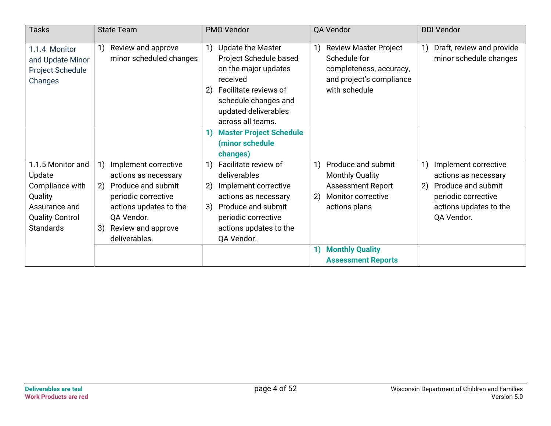| <b>Tasks</b>                                                                                                             | <b>State Team</b>                                                                                                                                                                                                                      | PMO Vendor                                                                                                                                                                                                                              | QA Vendor                                                                                                                   | <b>DDI Vendor</b>                                                                                                                                                                                        |
|--------------------------------------------------------------------------------------------------------------------------|----------------------------------------------------------------------------------------------------------------------------------------------------------------------------------------------------------------------------------------|-----------------------------------------------------------------------------------------------------------------------------------------------------------------------------------------------------------------------------------------|-----------------------------------------------------------------------------------------------------------------------------|----------------------------------------------------------------------------------------------------------------------------------------------------------------------------------------------------------|
| 1.1.4 Monitor<br>and Update Minor<br><b>Project Schedule</b><br>Changes                                                  | Review and approve<br>1)<br>minor scheduled changes                                                                                                                                                                                    | <b>Update the Master</b><br>1)<br>Project Schedule based<br>on the major updates<br>received<br>Facilitate reviews of<br>$\left( 2\right)$<br>schedule changes and<br>updated deliverables<br>across all teams.                         | <b>Review Master Project</b><br>Schedule for<br>completeness, accuracy,<br>and project's compliance<br>with schedule        | Draft, review and provide<br>minor schedule changes                                                                                                                                                      |
|                                                                                                                          |                                                                                                                                                                                                                                        | <b>Master Project Schedule</b><br>(minor schedule<br>changes)                                                                                                                                                                           |                                                                                                                             |                                                                                                                                                                                                          |
| 1.1.5 Monitor and<br>Update<br>Compliance with<br>Quality<br>Assurance and<br><b>Quality Control</b><br><b>Standards</b> | $\left( \begin{matrix} 1 \end{matrix} \right)$<br>Implement corrective<br>actions as necessary<br>Produce and submit<br>2)<br>periodic corrective<br>actions updates to the<br>QA Vendor.<br>3)<br>Review and approve<br>deliverables. | Facilitate review of<br>$\left( \begin{matrix} 1 \end{matrix} \right)$<br>deliverables<br>2)<br>Implement corrective<br>actions as necessary<br>Produce and submit<br>3)<br>periodic corrective<br>actions updates to the<br>QA Vendor. | Produce and submit<br>1)<br><b>Monthly Quality</b><br><b>Assessment Report</b><br>2)<br>Monitor corrective<br>actions plans | $\left( \begin{matrix} 1 \end{matrix} \right)$<br>Implement corrective<br>actions as necessary<br>Produce and submit<br>$\left( 2\right)$<br>periodic corrective<br>actions updates to the<br>QA Vendor. |
|                                                                                                                          |                                                                                                                                                                                                                                        |                                                                                                                                                                                                                                         | <b>Monthly Quality</b><br>1)<br><b>Assessment Reports</b>                                                                   |                                                                                                                                                                                                          |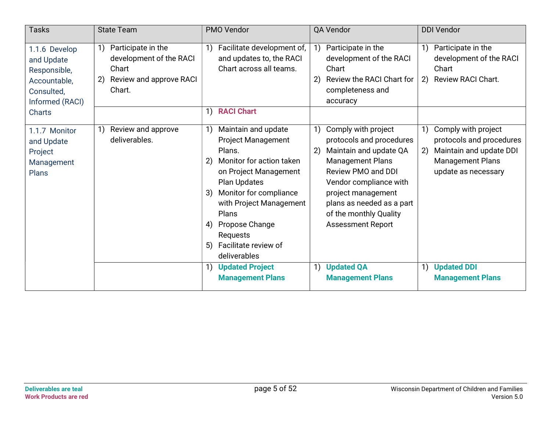| <b>Tasks</b>                                                                                 | <b>State Team</b>                                                                                                      | PMO Vendor                                                                                                                                                                                                                                                                                               | QA Vendor                                                                                                                                                                                                                                                                 | <b>DDI Vendor</b>                                                                                                                        |
|----------------------------------------------------------------------------------------------|------------------------------------------------------------------------------------------------------------------------|----------------------------------------------------------------------------------------------------------------------------------------------------------------------------------------------------------------------------------------------------------------------------------------------------------|---------------------------------------------------------------------------------------------------------------------------------------------------------------------------------------------------------------------------------------------------------------------------|------------------------------------------------------------------------------------------------------------------------------------------|
| 1.1.6 Develop<br>and Update<br>Responsible,<br>Accountable,<br>Consulted,<br>Informed (RACI) | Participate in the<br>1)<br>development of the RACI<br>Chart<br>Review and approve RACI<br>$\left( 2\right)$<br>Chart. | Facilitate development of,<br>1)<br>and updates to, the RACI<br>Chart across all teams.                                                                                                                                                                                                                  | Participate in the<br>1)<br>development of the RACI<br>Chart<br>Review the RACI Chart for<br>2)<br>completeness and<br>accuracy                                                                                                                                           | Participate in the<br>development of the RACI<br>Chart<br>Review RACI Chart.<br>2)                                                       |
| <b>Charts</b>                                                                                |                                                                                                                        | 1) RACI Chart                                                                                                                                                                                                                                                                                            |                                                                                                                                                                                                                                                                           |                                                                                                                                          |
| 1.1.7 Monitor<br>and Update<br>Project<br>Management<br><b>Plans</b>                         | Review and approve<br>1)<br>deliverables.                                                                              | Maintain and update<br>1)<br><b>Project Management</b><br>Plans.<br>Monitor for action taken<br>2)<br>on Project Management<br><b>Plan Updates</b><br>Monitor for compliance<br>3)<br>with Project Management<br>Plans<br>Propose Change<br>4)<br>Requests<br>Facilitate review of<br>5)<br>deliverables | Comply with project<br>1)<br>protocols and procedures<br>2)<br>Maintain and update QA<br><b>Management Plans</b><br>Review PMO and DDI<br>Vendor compliance with<br>project management<br>plans as needed as a part<br>of the monthly Quality<br><b>Assessment Report</b> | 1)<br>Comply with project<br>protocols and procedures<br>Maintain and update DDI<br>2)<br><b>Management Plans</b><br>update as necessary |
|                                                                                              |                                                                                                                        | <b>Updated Project</b><br>1)<br><b>Management Plans</b>                                                                                                                                                                                                                                                  | 1)<br><b>Updated QA</b><br><b>Management Plans</b>                                                                                                                                                                                                                        | <b>Updated DDI</b><br>$\left( \begin{matrix} 1 \end{matrix} \right)$<br><b>Management Plans</b>                                          |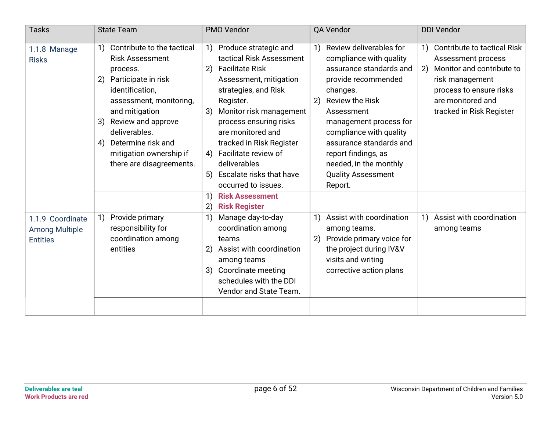| <b>Tasks</b>                                                 | <b>State Team</b>                                                                                                                                                                                                                                                                                   | PMO Vendor                                                                                                                                                                                                                                                                                                                                                                                                       | QA Vendor                                                                                                                                                                                                                                                                                                                                     | <b>DDI Vendor</b>                                                                                                                                                                                |
|--------------------------------------------------------------|-----------------------------------------------------------------------------------------------------------------------------------------------------------------------------------------------------------------------------------------------------------------------------------------------------|------------------------------------------------------------------------------------------------------------------------------------------------------------------------------------------------------------------------------------------------------------------------------------------------------------------------------------------------------------------------------------------------------------------|-----------------------------------------------------------------------------------------------------------------------------------------------------------------------------------------------------------------------------------------------------------------------------------------------------------------------------------------------|--------------------------------------------------------------------------------------------------------------------------------------------------------------------------------------------------|
| 1.1.8 Manage<br><b>Risks</b>                                 | Contribute to the tactical<br>1)<br><b>Risk Assessment</b><br>process.<br>Participate in risk<br>2)<br>identification,<br>assessment, monitoring,<br>and mitigation<br>Review and approve<br>3)<br>deliverables.<br>Determine risk and<br>4)<br>mitigation ownership if<br>there are disagreements. | Produce strategic and<br>1)<br>tactical Risk Assessment<br><b>Facilitate Risk</b><br>2)<br>Assessment, mitigation<br>strategies, and Risk<br>Register.<br>3)<br>Monitor risk management<br>process ensuring risks<br>are monitored and<br>tracked in Risk Register<br>Facilitate review of<br>4)<br>deliverables<br><b>Escalate risks that have</b><br>5)<br>occurred to issues.<br><b>Risk Assessment</b><br>1) | Review deliverables for<br>1)<br>compliance with quality<br>assurance standards and<br>provide recommended<br>changes.<br><b>Review the Risk</b><br>2)<br>Assessment<br>management process for<br>compliance with quality<br>assurance standards and<br>report findings, as<br>needed, in the monthly<br><b>Quality Assessment</b><br>Report. | <b>Contribute to tactical Risk</b><br>1)<br>Assessment process<br>Monitor and contribute to<br>2)<br>risk management<br>process to ensure risks<br>are monitored and<br>tracked in Risk Register |
| 1.1.9 Coordinate<br><b>Among Multiple</b><br><b>Entities</b> | Provide primary<br>1)<br>responsibility for<br>coordination among<br>entities                                                                                                                                                                                                                       | (2)<br><b>Risk Register</b><br>$\left( \begin{matrix} 1 \end{matrix} \right)$<br>Manage day-to-day<br>coordination among<br>teams<br>Assist with coordination<br>2)<br>among teams<br>Coordinate meeting<br>3)<br>schedules with the DDI<br>Vendor and State Team.                                                                                                                                               | Assist with coordination<br>$\left( \begin{matrix} 1 \end{matrix} \right)$<br>among teams.<br>Provide primary voice for<br>2)<br>the project during IV&V<br>visits and writing<br>corrective action plans                                                                                                                                     | Assist with coordination<br>1)<br>among teams                                                                                                                                                    |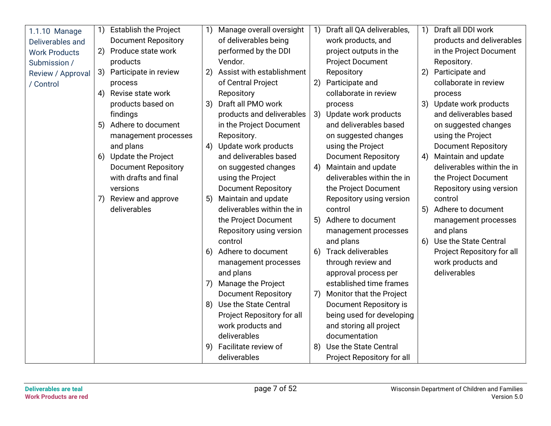| 1.1.10 Manage        | 1) | <b>Establish the Project</b> | 1) | Manage overall oversight   | $\left( \begin{matrix} 1 \end{matrix} \right)$ | Draft all QA deliverables, | 1) | Draft all DDI work         |
|----------------------|----|------------------------------|----|----------------------------|------------------------------------------------|----------------------------|----|----------------------------|
| Deliverables and     |    | <b>Document Repository</b>   |    | of deliverables being      |                                                | work products, and         |    | products and deliverables  |
| <b>Work Products</b> | 2) | Produce state work           |    | performed by the DDI       |                                                | project outputs in the     |    | in the Project Document    |
| Submission /         |    | products                     |    | Vendor.                    |                                                | <b>Project Document</b>    |    | Repository.                |
| Review / Approval    | 3) | Participate in review        | 2) | Assist with establishment  |                                                | Repository                 | 2) | Participate and            |
| / Control            |    | process                      |    | of Central Project         | 2)                                             | Participate and            |    | collaborate in review      |
|                      | 4) | Revise state work            |    | Repository                 |                                                | collaborate in review      |    | process                    |
|                      |    | products based on            | 3) | Draft all PMO work         |                                                | process                    |    | 3) Update work products    |
|                      |    | findings                     |    | products and deliverables  |                                                | 3) Update work products    |    | and deliverables based     |
|                      | 5) | Adhere to document           |    | in the Project Document    |                                                | and deliverables based     |    | on suggested changes       |
|                      |    | management processes         |    | Repository.                |                                                | on suggested changes       |    | using the Project          |
|                      |    | and plans                    | 4) | Update work products       |                                                | using the Project          |    | <b>Document Repository</b> |
|                      | 6) | <b>Update the Project</b>    |    | and deliverables based     |                                                | <b>Document Repository</b> | 4) | Maintain and update        |
|                      |    | <b>Document Repository</b>   |    | on suggested changes       | 4)                                             | Maintain and update        |    | deliverables within the in |
|                      |    | with drafts and final        |    | using the Project          |                                                | deliverables within the in |    | the Project Document       |
|                      |    | versions                     |    | <b>Document Repository</b> |                                                | the Project Document       |    | Repository using version   |
|                      | 7) | Review and approve           | 5) | Maintain and update        |                                                | Repository using version   |    | control                    |
|                      |    | deliverables                 |    | deliverables within the in |                                                | control                    | 5) | Adhere to document         |
|                      |    |                              |    | the Project Document       | 5)                                             | Adhere to document         |    | management processes       |
|                      |    |                              |    | Repository using version   |                                                | management processes       |    | and plans                  |
|                      |    |                              |    | control                    |                                                | and plans                  |    | 6) Use the State Central   |
|                      |    |                              | 6) | Adhere to document         | 6)                                             | <b>Track deliverables</b>  |    | Project Repository for all |
|                      |    |                              |    | management processes       |                                                | through review and         |    | work products and          |
|                      |    |                              |    | and plans                  |                                                | approval process per       |    | deliverables               |
|                      |    |                              | 7) | Manage the Project         |                                                | established time frames    |    |                            |
|                      |    |                              |    | <b>Document Repository</b> | 7)                                             | Monitor that the Project   |    |                            |
|                      |    |                              |    | 8) Use the State Central   |                                                | Document Repository is     |    |                            |
|                      |    |                              |    | Project Repository for all |                                                | being used for developing  |    |                            |
|                      |    |                              |    | work products and          |                                                | and storing all project    |    |                            |
|                      |    |                              |    | deliverables               |                                                | documentation              |    |                            |
|                      |    |                              | 9) | Facilitate review of       | 8)                                             | Use the State Central      |    |                            |
|                      |    |                              |    | deliverables               |                                                | Project Repository for all |    |                            |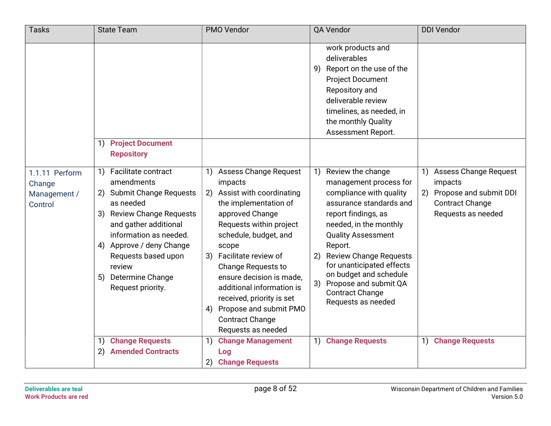| <b>Tasks</b>                                        | <b>State Team</b>                                                                                                                                                                                                                                                                                 | PMO Vendor                                                                                                                                                                                                                                                                                                                                                                                                                | QA Vendor                                                                                                                                                                                                                                                                                                                                                                     | <b>DDI Vendor</b>                                                                                                          |
|-----------------------------------------------------|---------------------------------------------------------------------------------------------------------------------------------------------------------------------------------------------------------------------------------------------------------------------------------------------------|---------------------------------------------------------------------------------------------------------------------------------------------------------------------------------------------------------------------------------------------------------------------------------------------------------------------------------------------------------------------------------------------------------------------------|-------------------------------------------------------------------------------------------------------------------------------------------------------------------------------------------------------------------------------------------------------------------------------------------------------------------------------------------------------------------------------|----------------------------------------------------------------------------------------------------------------------------|
|                                                     | <b>Project Document</b><br>$\left( \left  \right  \right)$                                                                                                                                                                                                                                        |                                                                                                                                                                                                                                                                                                                                                                                                                           | work products and<br>deliverables<br>9) Report on the use of the<br><b>Project Document</b><br>Repository and<br>deliverable review<br>timelines, as needed, in<br>the monthly Quality<br>Assessment Report.                                                                                                                                                                  |                                                                                                                            |
|                                                     | <b>Repository</b>                                                                                                                                                                                                                                                                                 |                                                                                                                                                                                                                                                                                                                                                                                                                           |                                                                                                                                                                                                                                                                                                                                                                               |                                                                                                                            |
| 1.1.11 Perform<br>Change<br>Management /<br>Control | Facilitate contract<br>1)<br>amendments<br><b>Submit Change Requests</b><br>2)<br>as needed<br><b>Review Change Requests</b><br>3)<br>and gather additional<br>information as needed.<br>4) Approve / deny Change<br>Requests based upon<br>review<br>Determine Change<br>5)<br>Request priority. | <b>Assess Change Request</b><br>1)<br>impacts<br>Assist with coordinating<br>2)<br>the implementation of<br>approved Change<br>Requests within project<br>schedule, budget, and<br>scope<br>Facilitate review of<br>3)<br><b>Change Requests to</b><br>ensure decision is made,<br>additional information is<br>received, priority is set<br>Propose and submit PMO<br>4)<br><b>Contract Change</b><br>Requests as needed | Review the change<br>1)<br>management process for<br>compliance with quality<br>assurance standards and<br>report findings, as<br>needed, in the monthly<br><b>Quality Assessment</b><br>Report.<br><b>Review Change Requests</b><br>2)<br>for unanticipated effects<br>on budget and schedule<br>Propose and submit QA<br>3)<br><b>Contract Change</b><br>Requests as needed | <b>Assess Change Request</b><br>1)<br>impacts<br>2) Propose and submit DDI<br><b>Contract Change</b><br>Requests as needed |
|                                                     | <b>Change Requests</b><br>$\left( \begin{matrix} 1 \end{matrix} \right)$<br><b>Amended Contracts</b><br>2)                                                                                                                                                                                        | <b>Change Management</b><br>1)<br>Log                                                                                                                                                                                                                                                                                                                                                                                     | 1) Change Requests                                                                                                                                                                                                                                                                                                                                                            | 1) Change Requests                                                                                                         |
|                                                     |                                                                                                                                                                                                                                                                                                   | <b>Change Requests</b><br>2)                                                                                                                                                                                                                                                                                                                                                                                              |                                                                                                                                                                                                                                                                                                                                                                               |                                                                                                                            |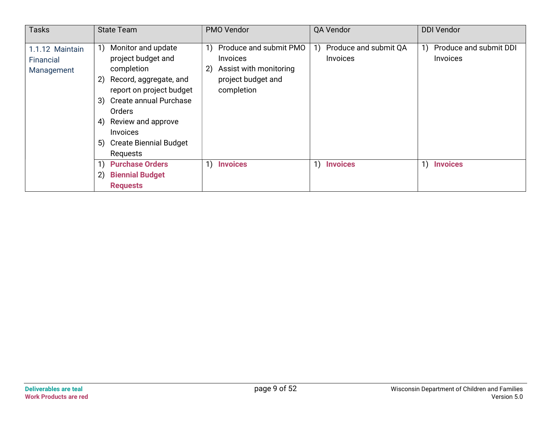| <b>Tasks</b>                               | <b>State Team</b>                                                                                                                                                                                                                                                    | <b>PMO Vendor</b>                                                                                                                 | QA Vendor                                      | <b>DDI Vendor</b>                        |
|--------------------------------------------|----------------------------------------------------------------------------------------------------------------------------------------------------------------------------------------------------------------------------------------------------------------------|-----------------------------------------------------------------------------------------------------------------------------------|------------------------------------------------|------------------------------------------|
| 1.1.12 Maintain<br>Financial<br>Management | Monitor and update<br>1)<br>project budget and<br>completion<br>Record, aggregate, and<br>2)<br>report on project budget<br>Create annual Purchase<br>3)<br><b>Orders</b><br>Review and approve<br>4)<br>Invoices<br><b>Create Biennial Budget</b><br>5)<br>Requests | Produce and submit PMO<br>1)<br><i><u><b>Invoices</b></u></i><br>Assist with monitoring<br>2)<br>project budget and<br>completion | Produce and submit QA<br>1)<br><b>Invoices</b> | Produce and submit DDI<br>1)<br>Invoices |
|                                            | <b>Purchase Orders</b><br>1)<br><b>Biennial Budget</b><br>2)<br><b>Requests</b>                                                                                                                                                                                      | 1)<br><b>Invoices</b>                                                                                                             | 1)<br><b>Invoices</b>                          | 1)<br><b>Invoices</b>                    |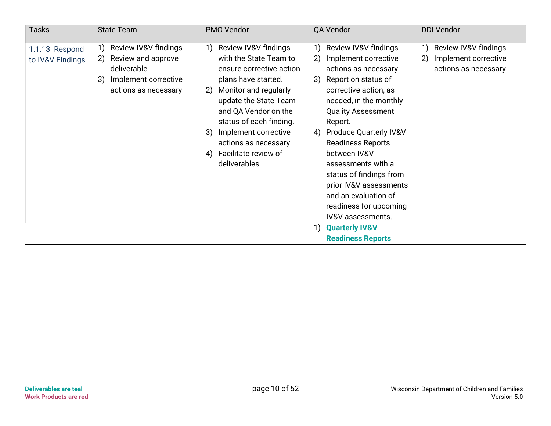| <b>Tasks</b>                       | <b>State Team</b>                                                                                                           | PMO Vendor                                                                                                                                                                                                                                                                                                             | QA Vendor                                                                                                                                                                                                                                                                                                                                                                                                                                         | <b>DDI Vendor</b>                                                                               |
|------------------------------------|-----------------------------------------------------------------------------------------------------------------------------|------------------------------------------------------------------------------------------------------------------------------------------------------------------------------------------------------------------------------------------------------------------------------------------------------------------------|---------------------------------------------------------------------------------------------------------------------------------------------------------------------------------------------------------------------------------------------------------------------------------------------------------------------------------------------------------------------------------------------------------------------------------------------------|-------------------------------------------------------------------------------------------------|
| 1.1.13 Respond<br>to IV&V Findings | Review IV&V findings<br>1)<br>Review and approve<br>2)<br>deliverable<br>Implement corrective<br>3)<br>actions as necessary | Review IV&V findings<br>1)<br>with the State Team to<br>ensure corrective action<br>plans have started.<br>Monitor and regularly<br>2)<br>update the State Team<br>and QA Vendor on the<br>status of each finding.<br>Implement corrective<br>3)<br>actions as necessary<br>Facilitate review of<br>4)<br>deliverables | Review IV&V findings<br>1)<br>Implement corrective<br>2)<br>actions as necessary<br>3)<br>Report on status of<br>corrective action, as<br>needed, in the monthly<br><b>Quality Assessment</b><br>Report.<br><b>Produce Quarterly IV&amp;V</b><br>4)<br><b>Readiness Reports</b><br>between IV&V<br>assessments with a<br>status of findings from<br>prior IV&V assessments<br>and an evaluation of<br>readiness for upcoming<br>IV&V assessments. | Review IV&V findings<br>1)<br>Implement corrective<br>$\left( 2\right)$<br>actions as necessary |
|                                    |                                                                                                                             |                                                                                                                                                                                                                                                                                                                        | <b>Quarterly IV&amp;V</b><br>1)<br><b>Readiness Reports</b>                                                                                                                                                                                                                                                                                                                                                                                       |                                                                                                 |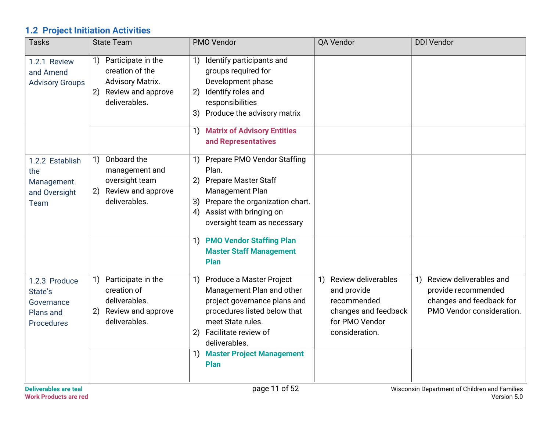## 1.2 Project Initiation Activities

| <b>Tasks</b>                                                      | <b>State Team</b>                                                                                                                              | PMO Vendor                                                                                                                                                                                                                                                                                                                                        | QA Vendor                                                                                                                  | <b>DDI Vendor</b>                                                                                                                                         |
|-------------------------------------------------------------------|------------------------------------------------------------------------------------------------------------------------------------------------|---------------------------------------------------------------------------------------------------------------------------------------------------------------------------------------------------------------------------------------------------------------------------------------------------------------------------------------------------|----------------------------------------------------------------------------------------------------------------------------|-----------------------------------------------------------------------------------------------------------------------------------------------------------|
| 1.2.1 Review<br>and Amend<br><b>Advisory Groups</b>               | Participate in the<br>1)<br>creation of the<br><b>Advisory Matrix.</b><br>Review and approve<br>2)<br>deliverables.                            | Identify participants and<br>1)<br>groups required for<br>Development phase<br>Identify roles and<br>2)<br>responsibilities<br>3) Produce the advisory matrix<br>1) Matrix of Advisory Entities<br>and Representatives                                                                                                                            |                                                                                                                            |                                                                                                                                                           |
| 1.2.2 Establish<br>the<br>Management<br>and Oversight<br>Team     | Onboard the<br>$\left( \begin{matrix} 1 \end{matrix} \right)$<br>management and<br>oversight team<br>Review and approve<br>2)<br>deliverables. | Prepare PMO Vendor Staffing<br>1)<br>Plan.<br><b>Prepare Master Staff</b><br>2)<br>Management Plan<br>Prepare the organization chart.<br>3)<br>Assist with bringing on<br>4)<br>oversight team as necessary<br><b>PMO Vendor Staffing Plan</b><br>$\left( \begin{matrix} 1 \end{matrix} \right)$<br><b>Master Staff Management</b><br><b>Plan</b> |                                                                                                                            |                                                                                                                                                           |
| 1.2.3 Produce<br>State's<br>Governance<br>Plans and<br>Procedures | Participate in the<br>1)<br>creation of<br>deliverables.<br>Review and approve<br>2)<br>deliverables.                                          | Produce a Master Project<br>1)<br>Management Plan and other<br>project governance plans and<br>procedures listed below that<br>meet State rules.<br>2) Facilitate review of<br>deliverables.<br><b>Master Project Management</b><br>$\left( \begin{matrix} 1 \end{matrix} \right)$<br><b>Plan</b>                                                 | <b>Review deliverables</b><br>1)<br>and provide<br>recommended<br>changes and feedback<br>for PMO Vendor<br>consideration. | Review deliverables and<br>$\left( \begin{matrix} 1 \end{matrix} \right)$<br>provide recommended<br>changes and feedback for<br>PMO Vendor consideration. |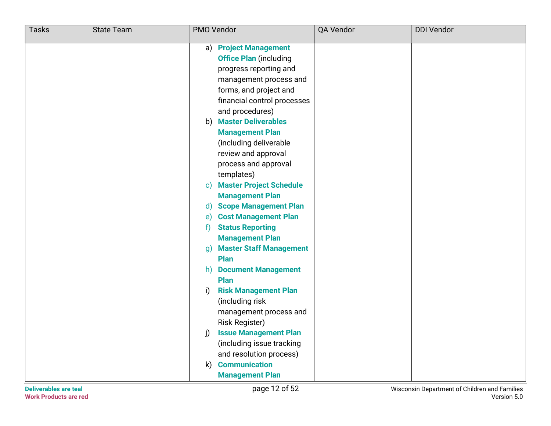| <b>Tasks</b> | <b>State Team</b> | PMO Vendor                                     | QA Vendor | <b>DDI Vendor</b> |
|--------------|-------------------|------------------------------------------------|-----------|-------------------|
|              |                   | a) Project Management                          |           |                   |
|              |                   | <b>Office Plan (including</b>                  |           |                   |
|              |                   | progress reporting and                         |           |                   |
|              |                   | management process and                         |           |                   |
|              |                   | forms, and project and                         |           |                   |
|              |                   | financial control processes                    |           |                   |
|              |                   | and procedures)                                |           |                   |
|              |                   | <b>Master Deliverables</b><br>b)               |           |                   |
|              |                   | <b>Management Plan</b>                         |           |                   |
|              |                   | (including deliverable                         |           |                   |
|              |                   | review and approval                            |           |                   |
|              |                   | process and approval                           |           |                   |
|              |                   | templates)                                     |           |                   |
|              |                   | <b>Master Project Schedule</b><br>$\mathbf{c}$ |           |                   |
|              |                   | <b>Management Plan</b>                         |           |                   |
|              |                   | <b>Scope Management Plan</b><br>$\mathsf{d}$   |           |                   |
|              |                   | <b>Cost Management Plan</b><br>e)              |           |                   |
|              |                   | <b>Status Reporting</b><br>f                   |           |                   |
|              |                   | <b>Management Plan</b>                         |           |                   |
|              |                   | <b>Master Staff Management</b><br>q)           |           |                   |
|              |                   | Plan                                           |           |                   |
|              |                   | <b>Document Management</b><br>h)<br>Plan       |           |                   |
|              |                   | <b>Risk Management Plan</b>                    |           |                   |
|              |                   | i)<br>(including risk                          |           |                   |
|              |                   | management process and                         |           |                   |
|              |                   | <b>Risk Register)</b>                          |           |                   |
|              |                   | <b>Issue Management Plan</b><br>i)             |           |                   |
|              |                   | (including issue tracking                      |           |                   |
|              |                   | and resolution process)                        |           |                   |
|              |                   | <b>Communication</b><br>$\mathsf{k}$           |           |                   |
|              |                   | <b>Management Plan</b>                         |           |                   |
|              |                   |                                                |           |                   |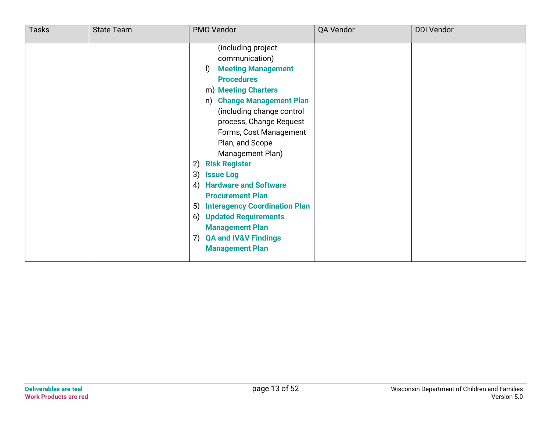| <b>Tasks</b> | <b>State Team</b> | PMO Vendor                                                                                                                                                                                                                                                                                                                                                                                                                                                                                                                                                                     | QA Vendor | <b>DDI Vendor</b> |
|--------------|-------------------|--------------------------------------------------------------------------------------------------------------------------------------------------------------------------------------------------------------------------------------------------------------------------------------------------------------------------------------------------------------------------------------------------------------------------------------------------------------------------------------------------------------------------------------------------------------------------------|-----------|-------------------|
|              |                   | (including project<br>communication)<br><b>Meeting Management</b><br>$\mathbf{D}$<br><b>Procedures</b><br>m) Meeting Charters<br><b>Change Management Plan</b><br>n)<br>(including change control<br>process, Change Request<br>Forms, Cost Management<br>Plan, and Scope<br>Management Plan)<br><b>Risk Register</b><br>2)<br>3)<br><b>Issue Log</b><br><b>Hardware and Software</b><br>4)<br><b>Procurement Plan</b><br>5) Interagency Coordination Plan<br><b>Updated Requirements</b><br>6)<br><b>Management Plan</b><br>7) QA and IV&V Findings<br><b>Management Plan</b> |           |                   |
|              |                   |                                                                                                                                                                                                                                                                                                                                                                                                                                                                                                                                                                                |           |                   |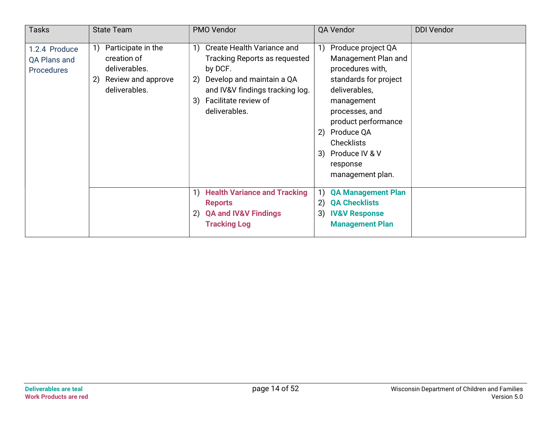| <b>Tasks</b>                                              | <b>State Team</b>                                                                                     | PMO Vendor                                                                                                                                                                                               | QA Vendor                                                                                                                                                                                                                                                             | <b>DDI Vendor</b> |
|-----------------------------------------------------------|-------------------------------------------------------------------------------------------------------|----------------------------------------------------------------------------------------------------------------------------------------------------------------------------------------------------------|-----------------------------------------------------------------------------------------------------------------------------------------------------------------------------------------------------------------------------------------------------------------------|-------------------|
| 1.2.4 Produce<br><b>QA Plans and</b><br><b>Procedures</b> | Participate in the<br>1)<br>creation of<br>deliverables.<br>Review and approve<br>2)<br>deliverables. | <b>Create Health Variance and</b><br>1)<br>Tracking Reports as requested<br>by DCF.<br>Develop and maintain a QA<br>2)<br>and IV&V findings tracking log.<br>Facilitate review of<br>3)<br>deliverables. | Produce project QA<br>1)<br>Management Plan and<br>procedures with,<br>standards for project<br>deliverables,<br>management<br>processes, and<br>product performance<br>Produce QA<br>2)<br><b>Checklists</b><br>Produce IV & V<br>3)<br>response<br>management plan. |                   |
|                                                           |                                                                                                       | 1) Health Variance and Tracking<br><b>Reports</b><br><b>QA and IV&amp;V Findings</b><br>2)<br><b>Tracking Log</b>                                                                                        | <b>QA Management Plan</b><br>1)<br><b>QA Checklists</b><br>2)<br>3)<br><b>IV&amp;V Response</b><br><b>Management Plan</b>                                                                                                                                             |                   |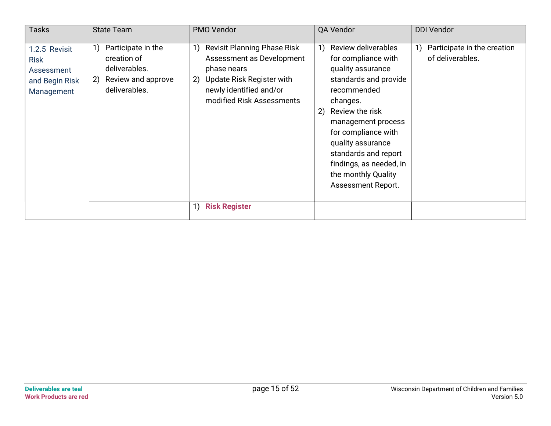| <b>Tasks</b>                                                               | <b>State Team</b>                                                                                     | <b>PMO Vendor</b>                                                                                                                                                               | QA Vendor                                                                                                                                                                                                                                                                                                            | <b>DDI Vendor</b>                                     |
|----------------------------------------------------------------------------|-------------------------------------------------------------------------------------------------------|---------------------------------------------------------------------------------------------------------------------------------------------------------------------------------|----------------------------------------------------------------------------------------------------------------------------------------------------------------------------------------------------------------------------------------------------------------------------------------------------------------------|-------------------------------------------------------|
| 1.2.5 Revisit<br><b>Risk</b><br>Assessment<br>and Begin Risk<br>Management | Participate in the<br>1)<br>creation of<br>deliverables.<br>Review and approve<br>2)<br>deliverables. | <b>Revisit Planning Phase Risk</b><br>1)<br>Assessment as Development<br>phase nears<br>Update Risk Register with<br>2)<br>newly identified and/or<br>modified Risk Assessments | Review deliverables<br>1)<br>for compliance with<br>quality assurance<br>standards and provide<br>recommended<br>changes.<br>Review the risk<br>2)<br>management process<br>for compliance with<br>quality assurance<br>standards and report<br>findings, as needed, in<br>the monthly Quality<br>Assessment Report. | Participate in the creation<br>1)<br>of deliverables. |
|                                                                            |                                                                                                       | <b>Risk Register</b><br>1)                                                                                                                                                      |                                                                                                                                                                                                                                                                                                                      |                                                       |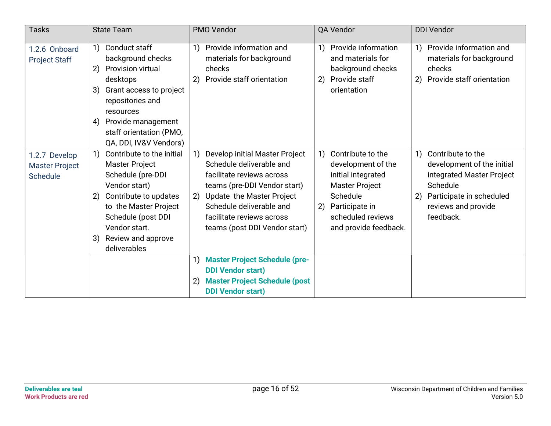| <b>Tasks</b>                                       | <b>State Team</b>                                                                                                                                                                                                                                                                      | PMO Vendor                                                                                                                                                                                                                                           | QA Vendor                                                                                                                                                                                                                  | <b>DDI Vendor</b>                                                                                                                                                    |
|----------------------------------------------------|----------------------------------------------------------------------------------------------------------------------------------------------------------------------------------------------------------------------------------------------------------------------------------------|------------------------------------------------------------------------------------------------------------------------------------------------------------------------------------------------------------------------------------------------------|----------------------------------------------------------------------------------------------------------------------------------------------------------------------------------------------------------------------------|----------------------------------------------------------------------------------------------------------------------------------------------------------------------|
| 1.2.6 Onboard<br><b>Project Staff</b>              | Conduct staff<br>$\left( \begin{array}{c} 1 \end{array} \right)$<br>background checks<br><b>Provision virtual</b><br>2)<br>desktops<br>Grant access to project<br>3)<br>repositories and<br>resources<br>Provide management<br>4)<br>staff orientation (PMO,<br>QA, DDI, IV&V Vendors) | Provide information and<br>1)<br>materials for background<br>checks<br>Provide staff orientation<br>2)                                                                                                                                               | Provide information<br>$\left( \begin{array}{c} 1 \end{array} \right)$<br>and materials for<br>background checks<br>Provide staff<br>2)<br>orientation                                                                     | Provide information and<br>$\left( \begin{matrix} 1 \end{matrix} \right)$<br>materials for background<br>checks<br>Provide staff orientation<br>2)                   |
| 1.2.7 Develop<br><b>Master Project</b><br>Schedule | Contribute to the initial<br>$\left( \begin{matrix} 1 \end{matrix} \right)$<br><b>Master Project</b><br>Schedule (pre-DDI<br>Vendor start)<br>Contribute to updates<br>2)<br>to the Master Project<br>Schedule (post DDI<br>Vendor start.<br>Review and approve<br>3)<br>deliverables  | Develop initial Master Project<br>Schedule deliverable and<br>facilitate reviews across<br>teams (pre-DDI Vendor start)<br>Update the Master Project<br>2)<br>Schedule deliverable and<br>facilitate reviews across<br>teams (post DDI Vendor start) | Contribute to the<br>$\left( \begin{matrix} 1 \end{matrix} \right)$<br>development of the<br>initial integrated<br><b>Master Project</b><br>Schedule<br>Participate in<br>2)<br>scheduled reviews<br>and provide feedback. | Contribute to the<br>1)<br>development of the initial<br>integrated Master Project<br>Schedule<br>Participate in scheduled<br>2)<br>reviews and provide<br>feedback. |
|                                                    |                                                                                                                                                                                                                                                                                        | <b>Master Project Schedule (pre-</b><br><b>DDI Vendor start)</b><br><b>Master Project Schedule (post</b><br>$\mathbf{2}$<br><b>DDI Vendor start)</b>                                                                                                 |                                                                                                                                                                                                                            |                                                                                                                                                                      |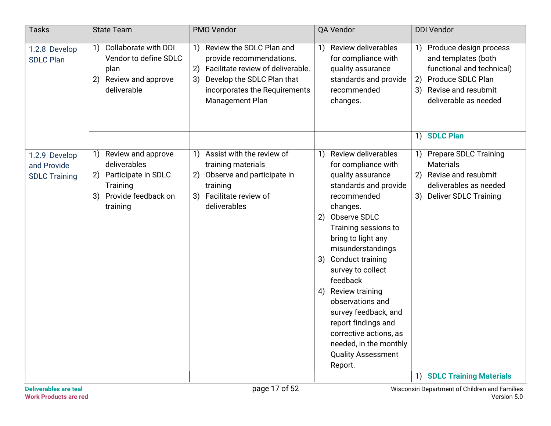| <b>Tasks</b>                                         | <b>State Team</b>                                                                                                        | PMO Vendor                                                                                                                                                                                    | QA Vendor                                                                                                                                                                                                                                                                                                                                                                                                                                                                           | <b>DDI Vendor</b>                                                                                                                                                       |
|------------------------------------------------------|--------------------------------------------------------------------------------------------------------------------------|-----------------------------------------------------------------------------------------------------------------------------------------------------------------------------------------------|-------------------------------------------------------------------------------------------------------------------------------------------------------------------------------------------------------------------------------------------------------------------------------------------------------------------------------------------------------------------------------------------------------------------------------------------------------------------------------------|-------------------------------------------------------------------------------------------------------------------------------------------------------------------------|
| 1.2.8 Develop<br><b>SDLC Plan</b>                    | <b>Collaborate with DDI</b><br>1)<br>Vendor to define SDLC<br>plan<br>2) Review and approve<br>deliverable               | Review the SDLC Plan and<br>1)<br>provide recommendations.<br>Facilitate review of deliverable.<br>2)<br>Develop the SDLC Plan that<br>3)<br>incorporates the Requirements<br>Management Plan | <b>Review deliverables</b><br>$\left( \begin{matrix} 1 \end{matrix} \right)$<br>for compliance with<br>quality assurance<br>standards and provide<br>recommended<br>changes.                                                                                                                                                                                                                                                                                                        | Produce design process<br>1)<br>and templates (both<br>functional and technical)<br>Produce SDLC Plan<br>2)<br>Revise and resubmit<br>3)<br>deliverable as needed       |
|                                                      |                                                                                                                          |                                                                                                                                                                                               |                                                                                                                                                                                                                                                                                                                                                                                                                                                                                     | <b>SDLC Plan</b><br>1)                                                                                                                                                  |
| 1.2.9 Develop<br>and Provide<br><b>SDLC Training</b> | Review and approve<br>1)<br>deliverables<br>Participate in SDLC<br>(2)<br>Training<br>3) Provide feedback on<br>training | Assist with the review of<br>1)<br>training materials<br>2) Observe and participate in<br>training<br>3) Facilitate review of<br>deliverables                                                 | <b>Review deliverables</b><br>1)<br>for compliance with<br>quality assurance<br>standards and provide<br>recommended<br>changes.<br>Observe SDLC<br>2)<br>Training sessions to<br>bring to light any<br>misunderstandings<br><b>Conduct training</b><br>3)<br>survey to collect<br>feedback<br>Review training<br>4)<br>observations and<br>survey feedback, and<br>report findings and<br>corrective actions, as<br>needed, in the monthly<br><b>Quality Assessment</b><br>Report. | 1) Prepare SDLC Training<br><b>Materials</b><br>Revise and resubmit<br>2)<br>deliverables as needed<br>3) Deliver SDLC Training<br><b>SDLC Training Materials</b><br>1) |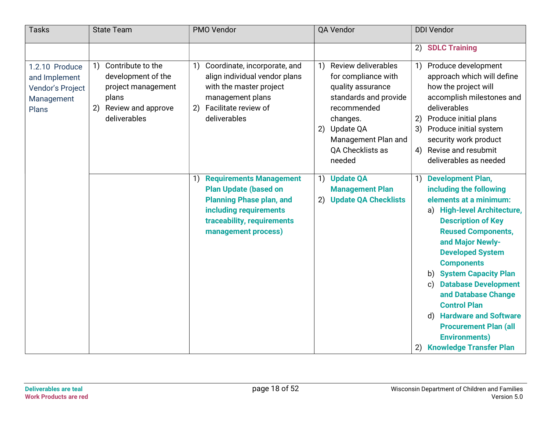| <b>Tasks</b>                                                               | <b>State Team</b>                                                                                                                                                    | PMO Vendor                                                                                                                                                                                                                         | QA Vendor                                                                                                                                                                                         | <b>DDI Vendor</b>                                                                                                                                                                                                                                                                                                                                                                                                                                                                                                                  |
|----------------------------------------------------------------------------|----------------------------------------------------------------------------------------------------------------------------------------------------------------------|------------------------------------------------------------------------------------------------------------------------------------------------------------------------------------------------------------------------------------|---------------------------------------------------------------------------------------------------------------------------------------------------------------------------------------------------|------------------------------------------------------------------------------------------------------------------------------------------------------------------------------------------------------------------------------------------------------------------------------------------------------------------------------------------------------------------------------------------------------------------------------------------------------------------------------------------------------------------------------------|
|                                                                            |                                                                                                                                                                      |                                                                                                                                                                                                                                    |                                                                                                                                                                                                   | 2) SDLC Training                                                                                                                                                                                                                                                                                                                                                                                                                                                                                                                   |
| 1.2.10 Produce<br>and Implement<br>Vendor's Project<br>Management<br>Plans | Contribute to the<br>$\left( \begin{matrix} 1 \end{matrix} \right)$<br>development of the<br>project management<br>plans<br>Review and approve<br>2)<br>deliverables | Coordinate, incorporate, and<br>1)<br>align individual vendor plans<br>with the master project<br>management plans<br>Facilitate review of<br>deliverables                                                                         | Review deliverables<br>1)<br>for compliance with<br>quality assurance<br>standards and provide<br>recommended<br>changes.<br>Update QA<br>2)<br>Management Plan and<br>QA Checklists as<br>needed | Produce development<br>1)<br>approach which will define<br>how the project will<br>accomplish milestones and<br>deliverables<br>Produce initial plans<br>2)<br>3)<br>Produce initial system<br>security work product<br>4) Revise and resubmit<br>deliverables as needed                                                                                                                                                                                                                                                           |
|                                                                            |                                                                                                                                                                      | <b>Requirements Management</b><br>$\left( \begin{matrix} 1 \end{matrix} \right)$<br><b>Plan Update (based on</b><br><b>Planning Phase plan, and</b><br>including requirements<br>traceability, requirements<br>management process) | 1) Update QA<br><b>Management Plan</b><br><b>Update QA Checklists</b><br>2)                                                                                                                       | <b>Development Plan,</b><br>1)<br>including the following<br>elements at a minimum:<br><b>High-level Architecture,</b><br>a)<br><b>Description of Key</b><br><b>Reused Components,</b><br>and Major Newly-<br><b>Developed System</b><br><b>Components</b><br><b>System Capacity Plan</b><br>b)<br><b>Database Development</b><br>$\mathsf{c}$<br>and Database Change<br><b>Control Plan</b><br><b>Hardware and Software</b><br>d)<br><b>Procurement Plan (all</b><br><b>Environments)</b><br><b>Knowledge Transfer Plan</b><br>2) |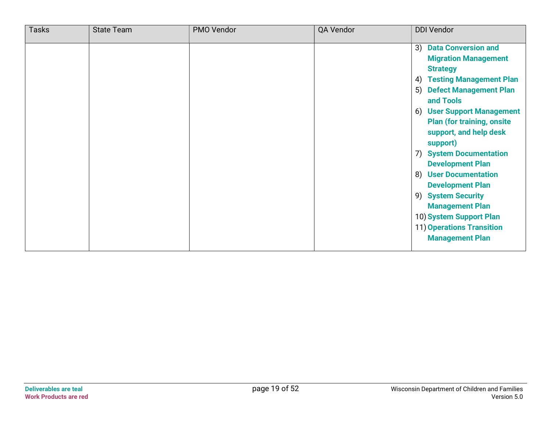| <b>Tasks</b> | <b>State Team</b> | PMO Vendor | QA Vendor | <b>DDI Vendor</b>                                                                                                                                                                                                                                                                                                                                                                                                                                                                                                           |
|--------------|-------------------|------------|-----------|-----------------------------------------------------------------------------------------------------------------------------------------------------------------------------------------------------------------------------------------------------------------------------------------------------------------------------------------------------------------------------------------------------------------------------------------------------------------------------------------------------------------------------|
|              |                   |            |           | 3) Data Conversion and<br><b>Migration Management</b><br><b>Strategy</b><br><b>Testing Management Plan</b><br>4)<br>5)<br><b>Defect Management Plan</b><br>and Tools<br><b>User Support Management</b><br>6)<br><b>Plan (for training, onsite)</b><br>support, and help desk<br>support)<br><b>System Documentation</b><br>7)<br><b>Development Plan</b><br>8) User Documentation<br><b>Development Plan</b><br>9) System Security<br><b>Management Plan</b><br>10) System Support Plan<br><b>11) Operations Transition</b> |
|              |                   |            |           | <b>Management Plan</b>                                                                                                                                                                                                                                                                                                                                                                                                                                                                                                      |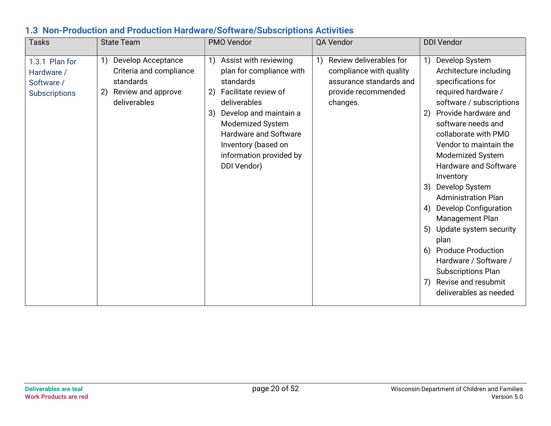#### 1.3 Non-Production and Production Hardware/Software/Subscriptions Activities

| Tasks                                                              | <b>State Team</b>                                                                                            | PMO Vendor                                                                                                                                                                                                                                                        | QA Vendor                                                                                                              | <b>DDI Vendor</b>                                                                                                                                                                                                                                                                                                                                                                                                                                                                                                                                                                               |
|--------------------------------------------------------------------|--------------------------------------------------------------------------------------------------------------|-------------------------------------------------------------------------------------------------------------------------------------------------------------------------------------------------------------------------------------------------------------------|------------------------------------------------------------------------------------------------------------------------|-------------------------------------------------------------------------------------------------------------------------------------------------------------------------------------------------------------------------------------------------------------------------------------------------------------------------------------------------------------------------------------------------------------------------------------------------------------------------------------------------------------------------------------------------------------------------------------------------|
| 1.3.1 Plan for<br>Hardware /<br>Software /<br><b>Subscriptions</b> | 1)<br>Develop Acceptance<br>Criteria and compliance<br>standards<br>Review and approve<br>2)<br>deliverables | Assist with reviewing<br>1)<br>plan for compliance with<br>standards<br>Facilitate review of<br>2)<br>deliverables<br>Develop and maintain a<br>3)<br>Modernized System<br>Hardware and Software<br>Inventory (based on<br>information provided by<br>DDI Vendor) | Review deliverables for<br>1)<br>compliance with quality<br>assurance standards and<br>provide recommended<br>changes. | Develop System<br>1)<br>Architecture including<br>specifications for<br>required hardware /<br>software / subscriptions<br>Provide hardware and<br>2)<br>software needs and<br>collaborate with PMO<br>Vendor to maintain the<br>Modernized System<br>Hardware and Software<br>Inventory<br>Develop System<br>3)<br><b>Administration Plan</b><br><b>Develop Configuration</b><br>4)<br>Management Plan<br>Update system security<br>5)<br>plan<br><b>Produce Production</b><br>6)<br>Hardware / Software /<br><b>Subscriptions Plan</b><br>Revise and resubmit<br>7)<br>deliverables as needed |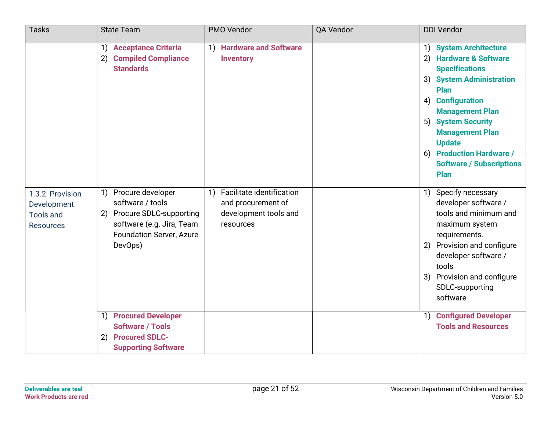| <b>Tasks</b>                                                           | <b>State Team</b>                                                                                                                                                                    | PMO Vendor                                                                               | QA Vendor | <b>DDI Vendor</b>                                                                                                                                                                                                                                                                                                            |
|------------------------------------------------------------------------|--------------------------------------------------------------------------------------------------------------------------------------------------------------------------------------|------------------------------------------------------------------------------------------|-----------|------------------------------------------------------------------------------------------------------------------------------------------------------------------------------------------------------------------------------------------------------------------------------------------------------------------------------|
|                                                                        | 1) Acceptance Criteria<br><b>Compiled Compliance</b><br>2)<br><b>Standards</b>                                                                                                       | 1) Hardware and Software<br><b>Inventory</b>                                             |           | 1) System Architecture<br><b>Hardware &amp; Software</b><br>(2)<br><b>Specifications</b><br>3) System Administration<br>Plan<br><b>Configuration</b><br>4)<br><b>Management Plan</b><br>5) System Security<br><b>Management Plan</b><br><b>Update</b><br>6) Production Hardware /<br><b>Software / Subscriptions</b><br>Plan |
| 1.3.2 Provision<br>Development<br><b>Tools and</b><br><b>Resources</b> | 1) Procure developer<br>software / tools<br><b>Procure SDLC-supporting</b><br>2)<br>software (e.g. Jira, Team<br><b>Foundation Server, Azure</b><br>DevOps)<br>1) Procured Developer | 1) Facilitate identification<br>and procurement of<br>development tools and<br>resources |           | Specify necessary<br>1)<br>developer software /<br>tools and minimum and<br>maximum system<br>requirements.<br>Provision and configure<br>2)<br>developer software /<br>tools<br>3) Provision and configure<br>SDLC-supporting<br>software<br>1) Configured Developer                                                        |
|                                                                        | <b>Software / Tools</b><br><b>Procured SDLC-</b><br>2)<br><b>Supporting Software</b>                                                                                                 |                                                                                          |           | <b>Tools and Resources</b>                                                                                                                                                                                                                                                                                                   |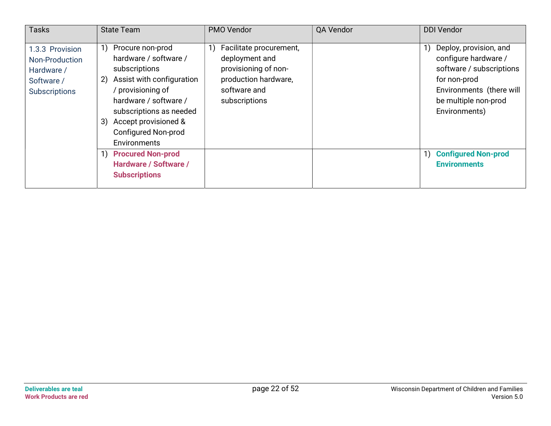| <b>Tasks</b>                                                                          | <b>State Team</b>                                                                                                                                                                                                                             | PMO Vendor                                                                                                                 | QA Vendor | <b>DDI Vendor</b>                                                                                                                                                     |
|---------------------------------------------------------------------------------------|-----------------------------------------------------------------------------------------------------------------------------------------------------------------------------------------------------------------------------------------------|----------------------------------------------------------------------------------------------------------------------------|-----------|-----------------------------------------------------------------------------------------------------------------------------------------------------------------------|
| 1.3.3 Provision<br>Non-Production<br>Hardware /<br>Software /<br><b>Subscriptions</b> | Procure non-prod<br>hardware / software /<br>subscriptions<br>Assist with configuration<br>2)<br>provisioning of<br>hardware / software /<br>subscriptions as needed<br>3) Accept provisioned &<br><b>Configured Non-prod</b><br>Environments | Facilitate procurement,<br>deployment and<br>provisioning of non-<br>production hardware,<br>software and<br>subscriptions |           | Deploy, provision, and<br>1)<br>configure hardware /<br>software / subscriptions<br>for non-prod<br>Environments (there will<br>be multiple non-prod<br>Environments) |
|                                                                                       | 1) Procured Non-prod<br>Hardware / Software /<br><b>Subscriptions</b>                                                                                                                                                                         |                                                                                                                            |           | <b>Configured Non-prod</b><br>1)<br><b>Environments</b>                                                                                                               |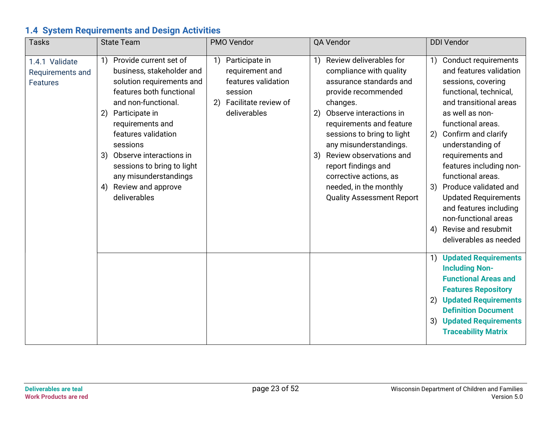## 1.4 System Requirements and Design Activities

| <b>Tasks</b>                                          | <b>State Team</b>                                                                                                                                                                                                                                                                                                                                   | PMO Vendor                                                                                                              | QA Vendor                                                                                                                                                                                                                                                                                                                                                                                   | <b>DDI Vendor</b>                                                                                                                                                                                                                                                                                                                                                                                                                                          |
|-------------------------------------------------------|-----------------------------------------------------------------------------------------------------------------------------------------------------------------------------------------------------------------------------------------------------------------------------------------------------------------------------------------------------|-------------------------------------------------------------------------------------------------------------------------|---------------------------------------------------------------------------------------------------------------------------------------------------------------------------------------------------------------------------------------------------------------------------------------------------------------------------------------------------------------------------------------------|------------------------------------------------------------------------------------------------------------------------------------------------------------------------------------------------------------------------------------------------------------------------------------------------------------------------------------------------------------------------------------------------------------------------------------------------------------|
| 1.4.1 Validate<br>Requirements and<br><b>Features</b> | Provide current set of<br>1)<br>business, stakeholder and<br>solution requirements and<br>features both functional<br>and non-functional.<br>2) Participate in<br>requirements and<br>features validation<br>sessions<br>3) Observe interactions in<br>sessions to bring to light<br>any misunderstandings<br>4) Review and approve<br>deliverables | Participate in<br>1)<br>requirement and<br>features validation<br>session<br>Facilitate review of<br>2)<br>deliverables | Review deliverables for<br>1)<br>compliance with quality<br>assurance standards and<br>provide recommended<br>changes.<br>Observe interactions in<br>2)<br>requirements and feature<br>sessions to bring to light<br>any misunderstandings.<br>Review observations and<br>3)<br>report findings and<br>corrective actions, as<br>needed, in the monthly<br><b>Quality Assessment Report</b> | 1) Conduct requirements<br>and features validation<br>sessions, covering<br>functional, technical,<br>and transitional areas<br>as well as non-<br>functional areas.<br>2) Confirm and clarify<br>understanding of<br>requirements and<br>features including non-<br>functional areas.<br>3) Produce validated and<br><b>Updated Requirements</b><br>and features including<br>non-functional areas<br>Revise and resubmit<br>4)<br>deliverables as needed |
|                                                       |                                                                                                                                                                                                                                                                                                                                                     |                                                                                                                         |                                                                                                                                                                                                                                                                                                                                                                                             | 1) Updated Requirements<br><b>Including Non-</b><br><b>Functional Areas and</b><br><b>Features Repository</b><br><b>Updated Requirements</b><br>2)<br><b>Definition Document</b><br><b>Updated Requirements</b><br>3)<br><b>Traceability Matrix</b>                                                                                                                                                                                                        |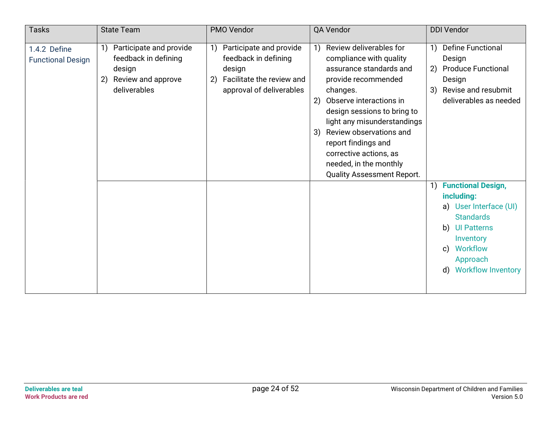| <b>Tasks</b>                             | <b>State Team</b>                                                                                     | PMO Vendor                                                                                                                     | QA Vendor                                                                                                                                                                                                                                                                                                                                                       | <b>DDI Vendor</b>                                                                                                                                                                                                                |
|------------------------------------------|-------------------------------------------------------------------------------------------------------|--------------------------------------------------------------------------------------------------------------------------------|-----------------------------------------------------------------------------------------------------------------------------------------------------------------------------------------------------------------------------------------------------------------------------------------------------------------------------------------------------------------|----------------------------------------------------------------------------------------------------------------------------------------------------------------------------------------------------------------------------------|
| 1.4.2 Define<br><b>Functional Design</b> | Participate and provide<br>feedback in defining<br>design<br>Review and approve<br>2)<br>deliverables | Participate and provide<br>1)<br>feedback in defining<br>design<br>Facilitate the review and<br>2)<br>approval of deliverables | Review deliverables for<br>1)<br>compliance with quality<br>assurance standards and<br>provide recommended<br>changes.<br>Observe interactions in<br>2)<br>design sessions to bring to<br>light any misunderstandings<br>Review observations and<br>3)<br>report findings and<br>corrective actions, as<br>needed, in the monthly<br>Quality Assessment Report. | <b>Define Functional</b><br>$\left( \begin{matrix} 1 \end{matrix} \right)$<br>Design<br>2) Produce Functional<br>Design<br>Revise and resubmit<br>3)<br>deliverables as needed                                                   |
|                                          |                                                                                                       |                                                                                                                                |                                                                                                                                                                                                                                                                                                                                                                 | <b>Functional Design,</b><br>1)<br>including:<br>a) User Interface (UI)<br><b>Standards</b><br><b>UI Patterns</b><br>b)<br>Inventory<br><b>Workflow</b><br>$\mathsf{c}$<br>Approach<br><b>Workflow Inventory</b><br>$\mathsf{d}$ |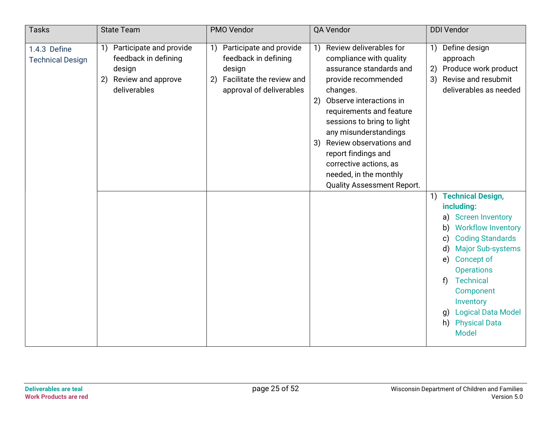| <b>Tasks</b>                            | <b>State Team</b>                                                                                           | PMO Vendor                                                                                                                     | QA Vendor                                                                                                                                                                                                                                                                                                                                                                                                                        | <b>DDI Vendor</b>                                                                                                                                                                                                                                                                                                                                                                                                                                                                                       |
|-----------------------------------------|-------------------------------------------------------------------------------------------------------------|--------------------------------------------------------------------------------------------------------------------------------|----------------------------------------------------------------------------------------------------------------------------------------------------------------------------------------------------------------------------------------------------------------------------------------------------------------------------------------------------------------------------------------------------------------------------------|---------------------------------------------------------------------------------------------------------------------------------------------------------------------------------------------------------------------------------------------------------------------------------------------------------------------------------------------------------------------------------------------------------------------------------------------------------------------------------------------------------|
| 1.4.3 Define<br><b>Technical Design</b> | Participate and provide<br>1)<br>feedback in defining<br>design<br>Review and approve<br>2)<br>deliverables | Participate and provide<br>1)<br>feedback in defining<br>design<br>Facilitate the review and<br>2)<br>approval of deliverables | Review deliverables for<br>$\left( \begin{matrix} 1 \end{matrix} \right)$<br>compliance with quality<br>assurance standards and<br>provide recommended<br>changes.<br>Observe interactions in<br>2)<br>requirements and feature<br>sessions to bring to light<br>any misunderstandings<br>Review observations and<br>3)<br>report findings and<br>corrective actions, as<br>needed, in the monthly<br>Quality Assessment Report. | Define design<br>1)<br>approach<br>2) Produce work product<br>3) Revise and resubmit<br>deliverables as needed<br><b>Technical Design,</b><br>1)<br>including:<br><b>Screen Inventory</b><br>a)<br><b>Workflow Inventory</b><br>b)<br><b>Coding Standards</b><br>$\mathbf{c})$<br><b>Major Sub-systems</b><br>$\mathsf{d}$<br>Concept of<br>e)<br><b>Operations</b><br><b>Technical</b><br>f<br>Component<br>Inventory<br><b>Logical Data Model</b><br>g)<br><b>Physical Data</b><br>h)<br><b>Model</b> |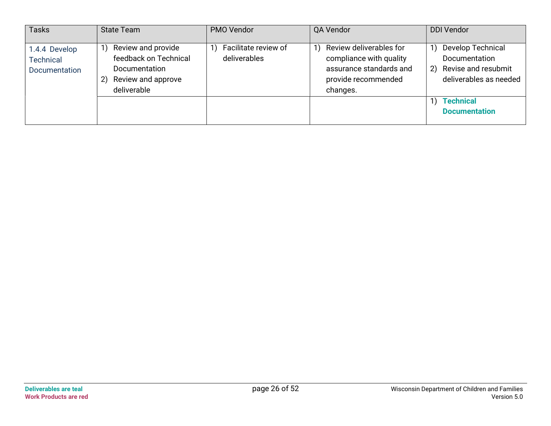| <b>Tasks</b>                                | <b>State Team</b>                                                                                       | PMO Vendor                           | QA Vendor                                                                                                        | <b>DDI Vendor</b>                                                                                                                                               |
|---------------------------------------------|---------------------------------------------------------------------------------------------------------|--------------------------------------|------------------------------------------------------------------------------------------------------------------|-----------------------------------------------------------------------------------------------------------------------------------------------------------------|
| 1.4.4 Develop<br>Technical<br>Documentation | Review and provide<br>feedback on Technical<br>Documentation<br>Review and approve<br>2)<br>deliverable | Facilitate review of<br>deliverables | Review deliverables for<br>compliance with quality<br>assurance standards and<br>provide recommended<br>changes. | <b>Develop Technical</b><br>1)<br><b>Documentation</b><br>Revise and resubmit<br>2)<br>deliverables as needed<br><b>Technical</b><br>1)<br><b>Documentation</b> |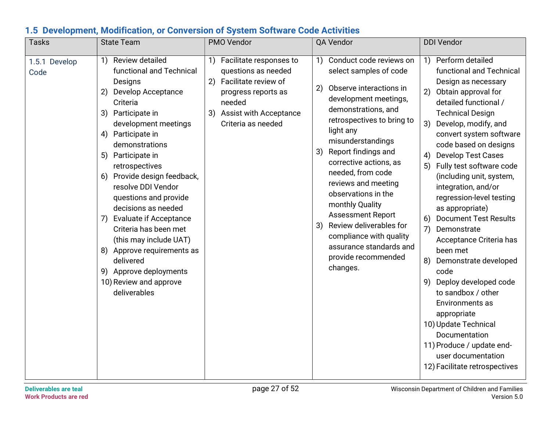| <b>Tasks</b>          | <b>State Team</b>                                                                                                                                                                                                                                                                                                                                                                                                                                                                                                                                                                            | PMO Vendor                                                                                                                                                                    | QA Vendor                                                                                                                                                                                                                                                                                                                                                                                                                                                                                                   | <b>DDI Vendor</b>                                                                                                                                                                                                                                                                                                                                                                                                                                                                                                                                                                                                                                                                                                                                                                |  |
|-----------------------|----------------------------------------------------------------------------------------------------------------------------------------------------------------------------------------------------------------------------------------------------------------------------------------------------------------------------------------------------------------------------------------------------------------------------------------------------------------------------------------------------------------------------------------------------------------------------------------------|-------------------------------------------------------------------------------------------------------------------------------------------------------------------------------|-------------------------------------------------------------------------------------------------------------------------------------------------------------------------------------------------------------------------------------------------------------------------------------------------------------------------------------------------------------------------------------------------------------------------------------------------------------------------------------------------------------|----------------------------------------------------------------------------------------------------------------------------------------------------------------------------------------------------------------------------------------------------------------------------------------------------------------------------------------------------------------------------------------------------------------------------------------------------------------------------------------------------------------------------------------------------------------------------------------------------------------------------------------------------------------------------------------------------------------------------------------------------------------------------------|--|
| 1.5.1 Develop<br>Code | Review detailed<br>$\left( \begin{matrix} 1 \end{matrix} \right)$<br>functional and Technical<br>Designs<br>2)<br>Develop Acceptance<br>Criteria<br>3) Participate in<br>development meetings<br>Participate in<br>4)<br>demonstrations<br>5) Participate in<br>retrospectives<br>6) Provide design feedback,<br>resolve DDI Vendor<br>questions and provide<br>decisions as needed<br><b>Evaluate if Acceptance</b><br>7)<br>Criteria has been met<br>(this may include UAT)<br>8) Approve requirements as<br>delivered<br>9) Approve deployments<br>10) Review and approve<br>deliverables | 1) Facilitate responses to<br>questions as needed<br>Facilitate review of<br>2)<br>progress reports as<br>needed<br><b>Assist with Acceptance</b><br>3)<br>Criteria as needed | Conduct code reviews on<br>1)<br>select samples of code<br>Observe interactions in<br>2)<br>development meetings,<br>demonstrations, and<br>retrospectives to bring to<br>light any<br>misunderstandings<br>Report findings and<br>3)<br>corrective actions, as<br>needed, from code<br>reviews and meeting<br>observations in the<br>monthly Quality<br><b>Assessment Report</b><br>Review deliverables for<br>3)<br>compliance with quality<br>assurance standards and<br>provide recommended<br>changes. | Perform detailed<br>1)<br>functional and Technical<br>Design as necessary<br>Obtain approval for<br>2)<br>detailed functional /<br><b>Technical Design</b><br>Develop, modify, and<br>3)<br>convert system software<br>code based on designs<br><b>Develop Test Cases</b><br>4)<br>Fully test software code<br>5)<br>(including unit, system,<br>integration, and/or<br>regression-level testing<br>as appropriate)<br><b>Document Test Results</b><br>6)<br>7)<br>Demonstrate<br>Acceptance Criteria has<br>been met<br>Demonstrate developed<br>8)<br>code<br>Deploy developed code<br>9)<br>to sandbox / other<br>Environments as<br>appropriate<br>10) Update Technical<br>Documentation<br>11) Produce / update end-<br>user documentation<br>12) Facilitate retrospectives |  |
|                       | page 27 of 52<br><b>Deliverables are teal</b><br>Wisconsin Department of Children and Families                                                                                                                                                                                                                                                                                                                                                                                                                                                                                               |                                                                                                                                                                               |                                                                                                                                                                                                                                                                                                                                                                                                                                                                                                             |                                                                                                                                                                                                                                                                                                                                                                                                                                                                                                                                                                                                                                                                                                                                                                                  |  |

### 1.5 Development, Modification, or Conversion of System Software Code Activities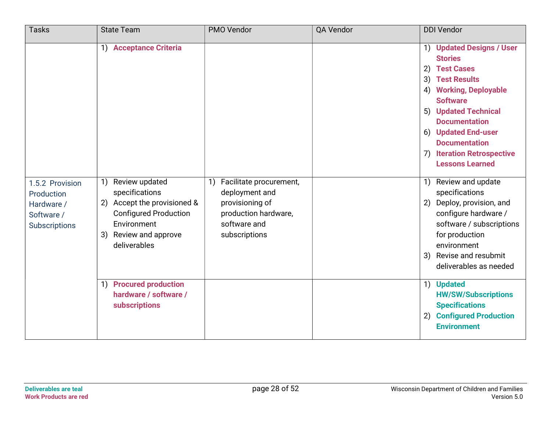| <b>Tasks</b>                                                                      | <b>State Team</b>                                                                                                                                                                                          | PMO Vendor                                                                                                               | QA Vendor | <b>DDI Vendor</b>                                                                                                                                                                                                                                                                                       |
|-----------------------------------------------------------------------------------|------------------------------------------------------------------------------------------------------------------------------------------------------------------------------------------------------------|--------------------------------------------------------------------------------------------------------------------------|-----------|---------------------------------------------------------------------------------------------------------------------------------------------------------------------------------------------------------------------------------------------------------------------------------------------------------|
|                                                                                   | <b>Acceptance Criteria</b><br>1)                                                                                                                                                                           |                                                                                                                          |           | 1) Updated Designs / User<br><b>Stories</b><br>2) Test Cases<br>3) Test Results<br><b>Working, Deployable</b><br>4)<br><b>Software</b><br>5) Updated Technical<br><b>Documentation</b><br>6) Updated End-user<br><b>Documentation</b><br><b>Iteration Retrospective</b><br>7)<br><b>Lessons Learned</b> |
| 1.5.2 Provision<br>Production<br>Hardware /<br>Software /<br><b>Subscriptions</b> | Review updated<br>$\left( \begin{array}{c} 1 \end{array} \right)$<br>specifications<br>2) Accept the provisioned &<br><b>Configured Production</b><br>Environment<br>3) Review and approve<br>deliverables | 1) Facilitate procurement,<br>deployment and<br>provisioning of<br>production hardware,<br>software and<br>subscriptions |           | Review and update<br>$\left( \begin{array}{c} 1 \end{array} \right)$<br>specifications<br>Deploy, provision, and<br>2)<br>configure hardware /<br>software / subscriptions<br>for production<br>environment<br>Revise and resubmit<br>3)<br>deliverables as needed                                      |
|                                                                                   | 1) Procured production<br>hardware / software /<br>subscriptions                                                                                                                                           |                                                                                                                          |           | <b>Updated</b><br>1)<br><b>HW/SW/Subscriptions</b><br><b>Specifications</b><br><b>Configured Production</b><br>2)<br><b>Environment</b>                                                                                                                                                                 |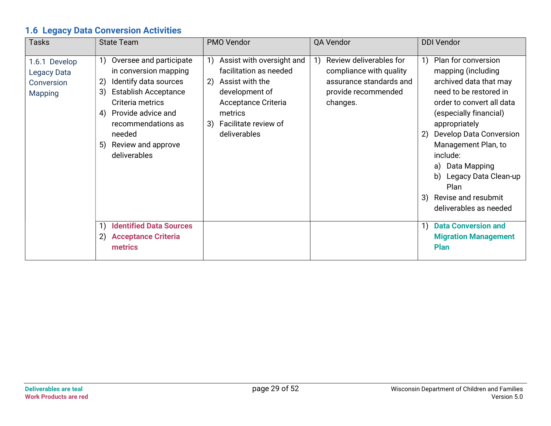## 1.6 Legacy Data Conversion Activities

| <b>Tasks</b>                                                        | <b>State Team</b>                                                                                                                                                                                                                                | PMO Vendor                                                                                                                                                                  | QA Vendor                                                                                                        | <b>DDI Vendor</b>                                                                                                                                                                                                                                                                                                                                         |
|---------------------------------------------------------------------|--------------------------------------------------------------------------------------------------------------------------------------------------------------------------------------------------------------------------------------------------|-----------------------------------------------------------------------------------------------------------------------------------------------------------------------------|------------------------------------------------------------------------------------------------------------------|-----------------------------------------------------------------------------------------------------------------------------------------------------------------------------------------------------------------------------------------------------------------------------------------------------------------------------------------------------------|
| 1.6.1 Develop<br><b>Legacy Data</b><br>Conversion<br><b>Mapping</b> | Oversee and participate<br>1)<br>in conversion mapping<br>Identify data sources<br>2)<br><b>Establish Acceptance</b><br>3)<br>Criteria metrics<br>4) Provide advice and<br>recommendations as<br>needed<br>5) Review and approve<br>deliverables | Assist with oversight and<br>facilitation as needed<br>Assist with the<br>2)<br>development of<br>Acceptance Criteria<br>metrics<br>3) Facilitate review of<br>deliverables | Review deliverables for<br>compliance with quality<br>assurance standards and<br>provide recommended<br>changes. | Plan for conversion<br>1)<br>mapping (including<br>archived data that may<br>need to be restored in<br>order to convert all data<br>(especially financial)<br>appropriately<br>Develop Data Conversion<br>2)<br>Management Plan, to<br>include:<br>a) Data Mapping<br>b) Legacy Data Clean-up<br>Plan<br>3) Revise and resubmit<br>deliverables as needed |
|                                                                     | <b>Identified Data Sources</b><br>2) Acceptance Criteria<br>metrics                                                                                                                                                                              |                                                                                                                                                                             |                                                                                                                  | <b>Data Conversion and</b><br>$\left( \begin{matrix} 1 \end{matrix} \right)$<br><b>Migration Management</b><br><b>Plan</b>                                                                                                                                                                                                                                |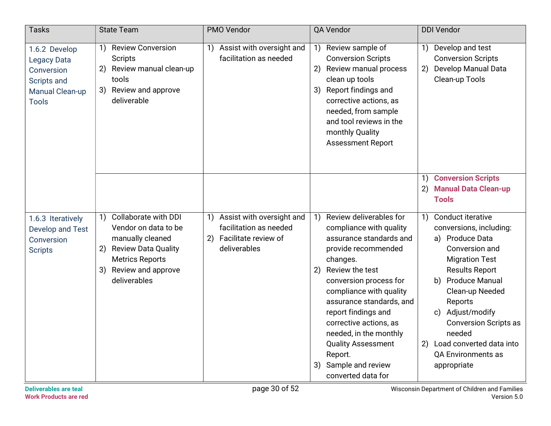| <b>Tasks</b>                                                                                               | <b>State Team</b>                                                                                                                                                                                                                    | PMO Vendor                                                                                                                                       | QA Vendor                                                                                                                                                                                                                                                                                                                                                                                                                                         | <b>DDI Vendor</b>                                                                                                                                                                                                                                                                                                                                                                    |
|------------------------------------------------------------------------------------------------------------|--------------------------------------------------------------------------------------------------------------------------------------------------------------------------------------------------------------------------------------|--------------------------------------------------------------------------------------------------------------------------------------------------|---------------------------------------------------------------------------------------------------------------------------------------------------------------------------------------------------------------------------------------------------------------------------------------------------------------------------------------------------------------------------------------------------------------------------------------------------|--------------------------------------------------------------------------------------------------------------------------------------------------------------------------------------------------------------------------------------------------------------------------------------------------------------------------------------------------------------------------------------|
| 1.6.2 Develop<br><b>Legacy Data</b><br>Conversion<br>Scripts and<br><b>Manual Clean-up</b><br><b>Tools</b> | <b>Review Conversion</b><br>1)<br><b>Scripts</b><br>Review manual clean-up<br>2)<br>tools<br>3) Review and approve<br>deliverable                                                                                                    | Assist with oversight and<br>$\left( \begin{matrix} 1 \end{matrix} \right)$<br>facilitation as needed                                            | 1) Review sample of<br><b>Conversion Scripts</b><br>2) Review manual process<br>clean up tools<br>3) Report findings and<br>corrective actions, as<br>needed, from sample<br>and tool reviews in the<br>monthly Quality<br><b>Assessment Report</b>                                                                                                                                                                                               | Develop and test<br>1)<br><b>Conversion Scripts</b><br>Develop Manual Data<br>2)<br>Clean-up Tools                                                                                                                                                                                                                                                                                   |
|                                                                                                            |                                                                                                                                                                                                                                      |                                                                                                                                                  |                                                                                                                                                                                                                                                                                                                                                                                                                                                   | <b>Conversion Scripts</b><br>1)<br><b>Manual Data Clean-up</b><br>2)<br><b>Tools</b>                                                                                                                                                                                                                                                                                                 |
| 1.6.3 Iteratively<br>Develop and Test<br>Conversion<br><b>Scripts</b>                                      | <b>Collaborate with DDI</b><br>$\left( \begin{array}{c} 1 \end{array} \right)$<br>Vendor on data to be<br>manually cleaned<br><b>Review Data Quality</b><br>2)<br><b>Metrics Reports</b><br>Review and approve<br>3)<br>deliverables | Assist with oversight and<br>$\left( \begin{matrix} 1 \end{matrix} \right)$<br>facilitation as needed<br>2) Facilitate review of<br>deliverables | Review deliverables for<br>$\left( \begin{matrix} 1 \end{matrix} \right)$<br>compliance with quality<br>assurance standards and<br>provide recommended<br>changes.<br>Review the test<br>(2)<br>conversion process for<br>compliance with quality<br>assurance standards, and<br>report findings and<br>corrective actions, as<br>needed, in the monthly<br><b>Quality Assessment</b><br>Report.<br>Sample and review<br>3)<br>converted data for | Conduct iterative<br>$\left( \begin{matrix} 1 \end{matrix} \right)$<br>conversions, including:<br>a) Produce Data<br>Conversion and<br><b>Migration Test</b><br><b>Results Report</b><br><b>Produce Manual</b><br>b)<br>Clean-up Needed<br>Reports<br>c) Adjust/modify<br><b>Conversion Scripts as</b><br>needed<br>2) Load converted data into<br>QA Environments as<br>appropriate |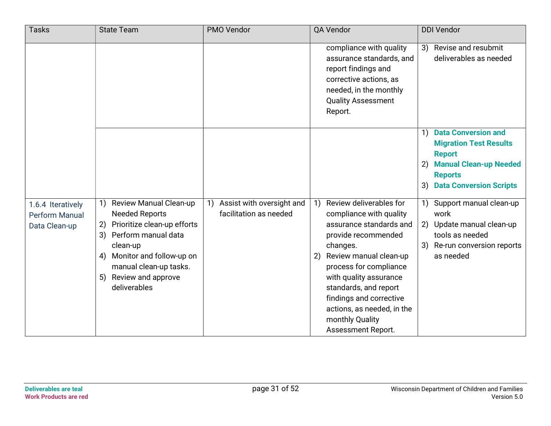| <b>Tasks</b>                                                | <b>State Team</b>                                                                                                                                                                                                               | PMO Vendor                                          | QA Vendor                                                                                                                                                                                                                                                                                                                                                                         | <b>DDI Vendor</b>                                                                                                                                                                   |
|-------------------------------------------------------------|---------------------------------------------------------------------------------------------------------------------------------------------------------------------------------------------------------------------------------|-----------------------------------------------------|-----------------------------------------------------------------------------------------------------------------------------------------------------------------------------------------------------------------------------------------------------------------------------------------------------------------------------------------------------------------------------------|-------------------------------------------------------------------------------------------------------------------------------------------------------------------------------------|
|                                                             |                                                                                                                                                                                                                                 |                                                     | compliance with quality<br>assurance standards, and<br>report findings and<br>corrective actions, as<br>needed, in the monthly<br><b>Quality Assessment</b><br>Report.                                                                                                                                                                                                            | Revise and resubmit<br>3)<br>deliverables as needed                                                                                                                                 |
|                                                             |                                                                                                                                                                                                                                 |                                                     |                                                                                                                                                                                                                                                                                                                                                                                   | <b>Data Conversion and</b><br>1)<br><b>Migration Test Results</b><br><b>Report</b><br><b>Manual Clean-up Needed</b><br>2)<br><b>Reports</b><br><b>Data Conversion Scripts</b><br>3) |
| 1.6.4 Iteratively<br><b>Perform Manual</b><br>Data Clean-up | Review Manual Clean-up<br><b>Needed Reports</b><br>Prioritize clean-up efforts<br>2)<br>Perform manual data<br>3)<br>clean-up<br>4) Monitor and follow-up on<br>manual clean-up tasks.<br>5) Review and approve<br>deliverables | Assist with oversight and<br>facilitation as needed | Review deliverables for<br>$\left( \begin{matrix} 1 \end{matrix} \right)$<br>compliance with quality<br>assurance standards and<br>provide recommended<br>changes.<br>Review manual clean-up<br>2)<br>process for compliance<br>with quality assurance<br>standards, and report<br>findings and corrective<br>actions, as needed, in the<br>monthly Quality<br>Assessment Report. | Support manual clean-up<br>work<br>2) Update manual clean-up<br>tools as needed<br>Re-run conversion reports<br>3)<br>as needed                                                     |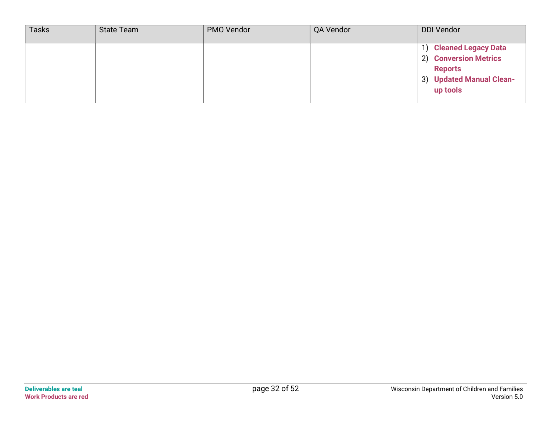| <b>Tasks</b> | State Team | PMO Vendor | QA Vendor | <b>DDI Vendor</b>                                                                                         |
|--------------|------------|------------|-----------|-----------------------------------------------------------------------------------------------------------|
|              |            |            |           | 1) Cleaned Legacy Data<br>2) Conversion Metrics<br><b>Reports</b><br>3) Updated Manual Clean-<br>up tools |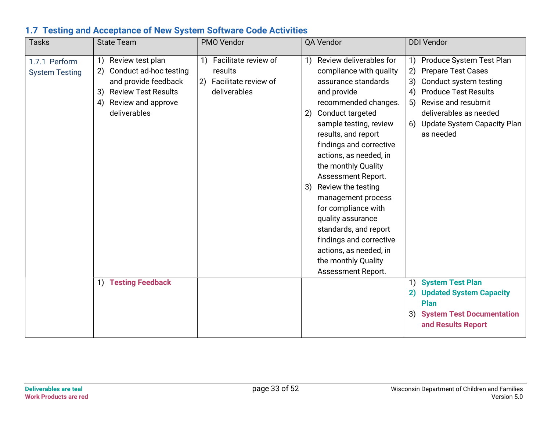| <b>Tasks</b>                           | <b>State Team</b>                                                                                                                                              | PMO Vendor                                                                    | QA Vendor                                                                                                                                                                                                                                                                                                                                                                                                                                                                                                                    | <b>DDI Vendor</b>                                                                                                                                                                                                                            |
|----------------------------------------|----------------------------------------------------------------------------------------------------------------------------------------------------------------|-------------------------------------------------------------------------------|------------------------------------------------------------------------------------------------------------------------------------------------------------------------------------------------------------------------------------------------------------------------------------------------------------------------------------------------------------------------------------------------------------------------------------------------------------------------------------------------------------------------------|----------------------------------------------------------------------------------------------------------------------------------------------------------------------------------------------------------------------------------------------|
| 1.7.1 Perform<br><b>System Testing</b> | Review test plan<br>1)<br>Conduct ad-hoc testing<br>2)<br>and provide feedback<br><b>Review Test Results</b><br>3)<br>Review and approve<br>4)<br>deliverables | 1) Facilitate review of<br>results<br>2) Facilitate review of<br>deliverables | Review deliverables for<br>1)<br>compliance with quality<br>assurance standards<br>and provide<br>recommended changes.<br>Conduct targeted<br>2)<br>sample testing, review<br>results, and report<br>findings and corrective<br>actions, as needed, in<br>the monthly Quality<br>Assessment Report.<br>Review the testing<br>3)<br>management process<br>for compliance with<br>quality assurance<br>standards, and report<br>findings and corrective<br>actions, as needed, in<br>the monthly Quality<br>Assessment Report. | Produce System Test Plan<br>1)<br><b>Prepare Test Cases</b><br>2)<br>Conduct system testing<br>3)<br><b>Produce Test Results</b><br>4)<br>Revise and resubmit<br>5)<br>deliverables as needed<br>6) Update System Capacity Plan<br>as needed |
|                                        | <b>Testing Feedback</b><br>1)                                                                                                                                  |                                                                               |                                                                                                                                                                                                                                                                                                                                                                                                                                                                                                                              | 1) System Test Plan<br>2) Updated System Capacity<br>Plan<br>3) System Test Documentation<br>and Results Report                                                                                                                              |

#### 1.7 Testing and Acceptance of New System Software Code Activities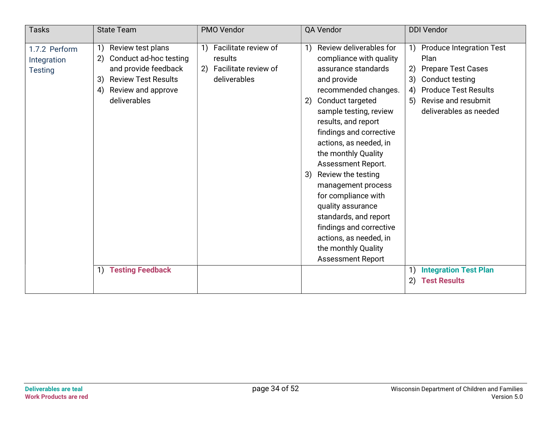| <b>Tasks</b>                                   | <b>State Team</b>                                                                                                                                               | PMO Vendor                                                                       | QA Vendor                                                                                                                                                                                                                                                                                                                                                                                                                                                                                                                 | <b>DDI Vendor</b>                                                                                                                                                                                                                          |
|------------------------------------------------|-----------------------------------------------------------------------------------------------------------------------------------------------------------------|----------------------------------------------------------------------------------|---------------------------------------------------------------------------------------------------------------------------------------------------------------------------------------------------------------------------------------------------------------------------------------------------------------------------------------------------------------------------------------------------------------------------------------------------------------------------------------------------------------------------|--------------------------------------------------------------------------------------------------------------------------------------------------------------------------------------------------------------------------------------------|
| 1.7.2 Perform<br>Integration<br><b>Testing</b> | Review test plans<br>1)<br>Conduct ad-hoc testing<br>2)<br>and provide feedback<br><b>Review Test Results</b><br>3)<br>Review and approve<br>4)<br>deliverables | Facilitate review of<br>1)<br>results<br>2) Facilitate review of<br>deliverables | 1) Review deliverables for<br>compliance with quality<br>assurance standards<br>and provide<br>recommended changes.<br>2) Conduct targeted<br>sample testing, review<br>results, and report<br>findings and corrective<br>actions, as needed, in<br>the monthly Quality<br>Assessment Report.<br>3) Review the testing<br>management process<br>for compliance with<br>quality assurance<br>standards, and report<br>findings and corrective<br>actions, as needed, in<br>the monthly Quality<br><b>Assessment Report</b> | Produce Integration Test<br>$\left( \begin{matrix} 1 \end{matrix} \right)$<br>Plan<br>2)<br><b>Prepare Test Cases</b><br>3)<br>Conduct testing<br><b>Produce Test Results</b><br>4)<br>Revise and resubmit<br>5)<br>deliverables as needed |
|                                                | <b>Testing Feedback</b><br>1)                                                                                                                                   |                                                                                  |                                                                                                                                                                                                                                                                                                                                                                                                                                                                                                                           | <b>Integration Test Plan</b><br>1)<br><b>Test Results</b><br>2)                                                                                                                                                                            |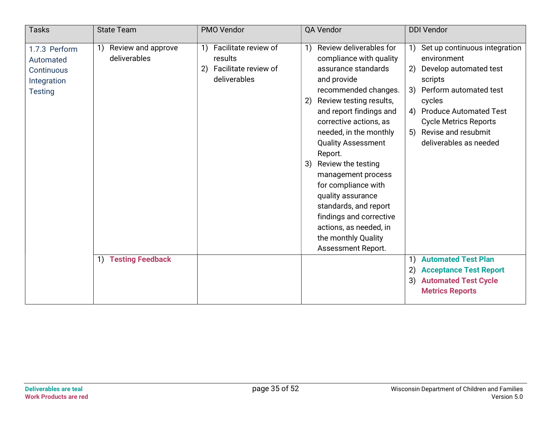| <b>Tasks</b>                                                              | <b>State Team</b>                                                         | PMO Vendor                                                                           | QA Vendor                                                                                                                                                                                 | <b>DDI Vendor</b>                                                                                                                    |
|---------------------------------------------------------------------------|---------------------------------------------------------------------------|--------------------------------------------------------------------------------------|-------------------------------------------------------------------------------------------------------------------------------------------------------------------------------------------|--------------------------------------------------------------------------------------------------------------------------------------|
| 1.7.3 Perform<br>Automated<br>Continuous<br>Integration<br><b>Testing</b> | Review and approve<br>1)<br>deliverables                                  | Facilitate review of<br>1)<br>results<br>Facilitate review of<br>(2)<br>deliverables | Review deliverables for<br>1)<br>compliance with quality<br>assurance standards<br>and provide<br>recommended changes.                                                                    | Set up continuous integration<br>environment<br>Develop automated test<br>2)<br>scripts<br>Perform automated test<br>3)              |
|                                                                           |                                                                           |                                                                                      | 2) Review testing results,<br>and report findings and<br>corrective actions, as<br>needed, in the monthly<br><b>Quality Assessment</b><br>Report.<br>3) Review the testing                | cycles<br><b>Produce Automated Test</b><br>4)<br><b>Cycle Metrics Reports</b><br>Revise and resubmit<br>5)<br>deliverables as needed |
|                                                                           |                                                                           |                                                                                      | management process<br>for compliance with<br>quality assurance<br>standards, and report<br>findings and corrective<br>actions, as needed, in<br>the monthly Quality<br>Assessment Report. |                                                                                                                                      |
|                                                                           | <b>Testing Feedback</b><br>$\left( \begin{matrix} 1 \end{matrix} \right)$ |                                                                                      |                                                                                                                                                                                           | <b>Automated Test Plan</b><br>1)<br><b>Acceptance Test Report</b><br>3)<br><b>Automated Test Cycle</b><br><b>Metrics Reports</b>     |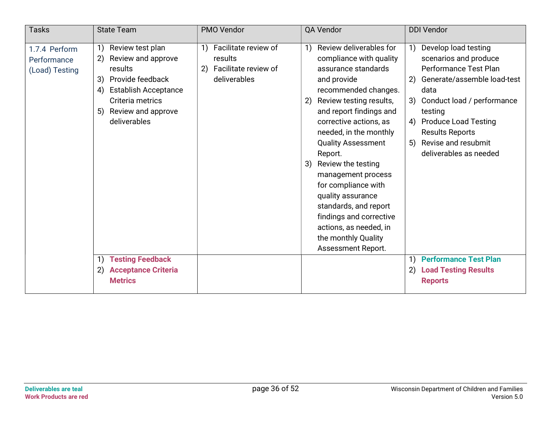| <b>Tasks</b>                                   | <b>State Team</b>                                                                                                                                                                            | PMO Vendor                                                                          | QA Vendor                                                                                                                                                                                                                                                                                                                                                                                                                                                                                            | <b>DDI Vendor</b>                                                                                                                                                                                                                                                                                     |
|------------------------------------------------|----------------------------------------------------------------------------------------------------------------------------------------------------------------------------------------------|-------------------------------------------------------------------------------------|------------------------------------------------------------------------------------------------------------------------------------------------------------------------------------------------------------------------------------------------------------------------------------------------------------------------------------------------------------------------------------------------------------------------------------------------------------------------------------------------------|-------------------------------------------------------------------------------------------------------------------------------------------------------------------------------------------------------------------------------------------------------------------------------------------------------|
| 1.7.4 Perform<br>Performance<br>(Load) Testing | Review test plan<br>1)<br>Review and approve<br>2)<br>results<br>Provide feedback<br>3)<br><b>Establish Acceptance</b><br>4)<br>Criteria metrics<br>Review and approve<br>5)<br>deliverables | Facilitate review of<br>1)<br>results<br>Facilitate review of<br>2)<br>deliverables | Review deliverables for<br>1)<br>compliance with quality<br>assurance standards<br>and provide<br>recommended changes.<br>Review testing results,<br>2)<br>and report findings and<br>corrective actions, as<br>needed, in the monthly<br><b>Quality Assessment</b><br>Report.<br>3) Review the testing<br>management process<br>for compliance with<br>quality assurance<br>standards, and report<br>findings and corrective<br>actions, as needed, in<br>the monthly Quality<br>Assessment Report. | Develop load testing<br>1)<br>scenarios and produce<br><b>Performance Test Plan</b><br>Generate/assemble load-test<br>2)<br>data<br>Conduct load / performance<br>3)<br>testing<br><b>Produce Load Testing</b><br>4)<br><b>Results Reports</b><br>Revise and resubmit<br>5)<br>deliverables as needed |
|                                                | <b>Testing Feedback</b><br>1)<br><b>Acceptance Criteria</b><br>2)<br><b>Metrics</b>                                                                                                          |                                                                                     |                                                                                                                                                                                                                                                                                                                                                                                                                                                                                                      | <b>Performance Test Plan</b><br>$\left( \begin{matrix} 1 \end{matrix} \right)$<br><b>Load Testing Results</b><br>2)<br><b>Reports</b>                                                                                                                                                                 |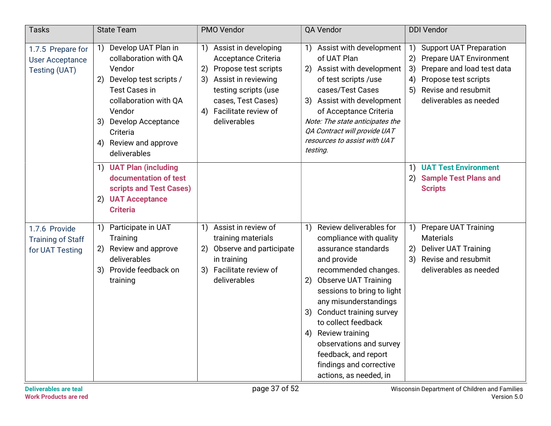| <b>Tasks</b>                                                 | <b>State Team</b>                                                                                                                                                                                                                           | PMO Vendor                                                                                                                                                                                      | QA Vendor                                                                                                                                                                                                                                                                                                                                                                                                                                                | <b>DDI Vendor</b>                                                                                                                                                                                     |
|--------------------------------------------------------------|---------------------------------------------------------------------------------------------------------------------------------------------------------------------------------------------------------------------------------------------|-------------------------------------------------------------------------------------------------------------------------------------------------------------------------------------------------|----------------------------------------------------------------------------------------------------------------------------------------------------------------------------------------------------------------------------------------------------------------------------------------------------------------------------------------------------------------------------------------------------------------------------------------------------------|-------------------------------------------------------------------------------------------------------------------------------------------------------------------------------------------------------|
| 1.7.5 Prepare for<br><b>User Acceptance</b><br>Testing (UAT) | Develop UAT Plan in<br>1)<br>collaboration with QA<br>Vendor<br>Develop test scripts /<br>2)<br><b>Test Cases in</b><br>collaboration with QA<br>Vendor<br>Develop Acceptance<br>3)<br>Criteria<br>Review and approve<br>4)<br>deliverables | 1) Assist in developing<br>Acceptance Criteria<br>2) Propose test scripts<br>3) Assist in reviewing<br>testing scripts (use<br>cases, Test Cases)<br>Facilitate review of<br>4)<br>deliverables | 1) Assist with development<br>of UAT Plan<br>2) Assist with development<br>of test scripts /use<br>cases/Test Cases<br>Assist with development<br>3)<br>of Acceptance Criteria<br>Note: The state anticipates the<br>QA Contract will provide UAT<br>resources to assist with UAT<br>testing.                                                                                                                                                            | <b>Support UAT Preparation</b><br>1)<br>2)<br><b>Prepare UAT Environment</b><br>Prepare and load test data<br>3)<br>Propose test scripts<br>4)<br>Revise and resubmit<br>5)<br>deliverables as needed |
|                                                              | <b>UAT Plan (including</b><br>1)<br>documentation of test<br>scripts and Test Cases)<br><b>UAT Acceptance</b><br>(2)<br><b>Criteria</b>                                                                                                     |                                                                                                                                                                                                 |                                                                                                                                                                                                                                                                                                                                                                                                                                                          | <b>UAT Test Environment</b><br>1)<br><b>Sample Test Plans and</b><br>2)<br><b>Scripts</b>                                                                                                             |
| 1.7.6 Provide<br><b>Training of Staff</b><br>for UAT Testing | Participate in UAT<br>1)<br>Training<br>Review and approve<br>2)<br>deliverables<br>Provide feedback on<br>3)<br>training                                                                                                                   | Assist in review of<br>1)<br>training materials<br>Observe and participate<br>2)<br>in training<br>Facilitate review of<br>3)<br>deliverables                                                   | Review deliverables for<br>$\left( \begin{array}{c} 1 \end{array} \right)$<br>compliance with quality<br>assurance standards<br>and provide<br>recommended changes.<br><b>Observe UAT Training</b><br>2)<br>sessions to bring to light<br>any misunderstandings<br>Conduct training survey<br>3)<br>to collect feedback<br>Review training<br>4)<br>observations and survey<br>feedback, and report<br>findings and corrective<br>actions, as needed, in | <b>Prepare UAT Training</b><br>1)<br><b>Materials</b><br><b>Deliver UAT Training</b><br>2)<br>Revise and resubmit<br>3)<br>deliverables as needed                                                     |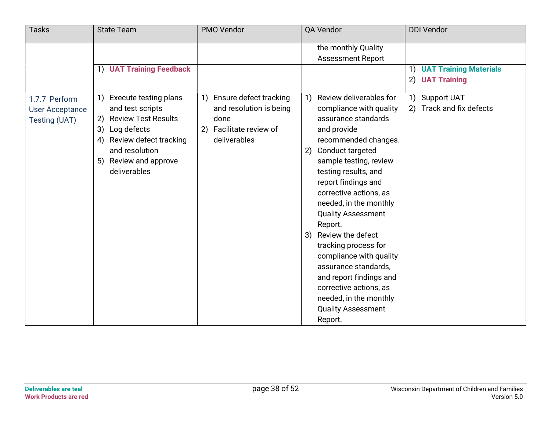| <b>Tasks</b>                                             | <b>State Team</b>                                                                                                                                                                                      | PMO Vendor                                                                                                    | QA Vendor                                                                                                                                                                                                                                                                                                                                                                                                                                                                                                                                          | <b>DDI Vendor</b>                            |
|----------------------------------------------------------|--------------------------------------------------------------------------------------------------------------------------------------------------------------------------------------------------------|---------------------------------------------------------------------------------------------------------------|----------------------------------------------------------------------------------------------------------------------------------------------------------------------------------------------------------------------------------------------------------------------------------------------------------------------------------------------------------------------------------------------------------------------------------------------------------------------------------------------------------------------------------------------------|----------------------------------------------|
|                                                          |                                                                                                                                                                                                        |                                                                                                               | the monthly Quality<br><b>Assessment Report</b>                                                                                                                                                                                                                                                                                                                                                                                                                                                                                                    |                                              |
|                                                          | 1) UAT Training Feedback                                                                                                                                                                               |                                                                                                               |                                                                                                                                                                                                                                                                                                                                                                                                                                                                                                                                                    | 1) UAT Training Materials<br>2) UAT Training |
| 1.7.7 Perform<br><b>User Acceptance</b><br>Testing (UAT) | Execute testing plans<br>1)<br>and test scripts<br><b>Review Test Results</b><br>2)<br>3)<br>Log defects<br>Review defect tracking<br>4)<br>and resolution<br>Review and approve<br>5)<br>deliverables | Ensure defect tracking<br>1)<br>and resolution is being<br>done<br>Facilitate review of<br>2)<br>deliverables | Review deliverables for<br>1)<br>compliance with quality<br>assurance standards<br>and provide<br>recommended changes.<br>Conduct targeted<br>2)<br>sample testing, review<br>testing results, and<br>report findings and<br>corrective actions, as<br>needed, in the monthly<br><b>Quality Assessment</b><br>Report.<br>Review the defect<br>3)<br>tracking process for<br>compliance with quality<br>assurance standards,<br>and report findings and<br>corrective actions, as<br>needed, in the monthly<br><b>Quality Assessment</b><br>Report. | 1) Support UAT<br>2) Track and fix defects   |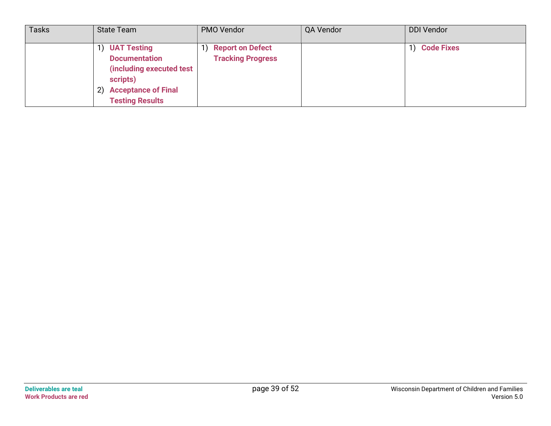| <b>Tasks</b> | <b>State Team</b>                                                                                                                                | PMO Vendor                                          | QA Vendor | <b>DDI Vendor</b> |
|--------------|--------------------------------------------------------------------------------------------------------------------------------------------------|-----------------------------------------------------|-----------|-------------------|
|              | <b>UAT Testing</b><br><b>Documentation</b><br>(including executed test<br>scripts)<br><b>Acceptance of Final</b><br>2)<br><b>Testing Results</b> | <b>Report on Defect</b><br><b>Tracking Progress</b> |           | 1) Code Fixes     |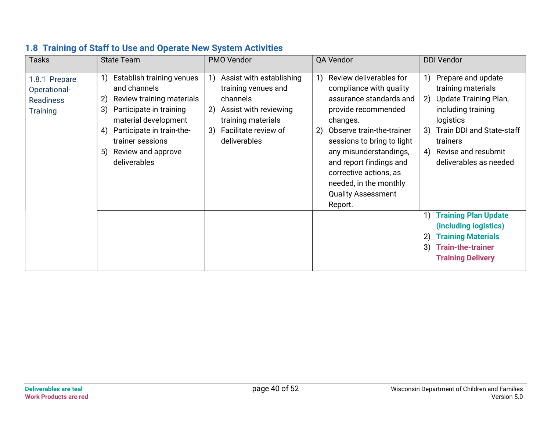| <b>Tasks</b>                                                         | <b>State Team</b>                                                                                                                                                                                                                              | PMO Vendor                                                                                                                                                           | QA Vendor                                                                                                                                                                                                                                                                                                                                | <b>DDI Vendor</b>                                                                                                                                                                                                                                                                                                                                                                     |
|----------------------------------------------------------------------|------------------------------------------------------------------------------------------------------------------------------------------------------------------------------------------------------------------------------------------------|----------------------------------------------------------------------------------------------------------------------------------------------------------------------|------------------------------------------------------------------------------------------------------------------------------------------------------------------------------------------------------------------------------------------------------------------------------------------------------------------------------------------|---------------------------------------------------------------------------------------------------------------------------------------------------------------------------------------------------------------------------------------------------------------------------------------------------------------------------------------------------------------------------------------|
| 1.8.1 Prepare<br>Operational-<br><b>Readiness</b><br><b>Training</b> | Establish training venues<br>1)<br>and channels<br>Review training materials<br>2)<br>Participate in training<br>3)<br>material development<br>Participate in train-the-<br>4)<br>trainer sessions<br>Review and approve<br>5)<br>deliverables | Assist with establishing<br>1)<br>training venues and<br>channels<br>Assist with reviewing<br>2)<br>training materials<br>Facilitate review of<br>3)<br>deliverables | Review deliverables for<br>1)<br>compliance with quality<br>assurance standards and<br>provide recommended<br>changes.<br>Observe train-the-trainer<br>2)<br>sessions to bring to light<br>any misunderstandings,<br>and report findings and<br>corrective actions, as<br>needed, in the monthly<br><b>Quality Assessment</b><br>Report. | Prepare and update<br>1)<br>training materials<br>Update Training Plan,<br>2)<br>including training<br>logistics<br>Train DDI and State-staff<br>3)<br>trainers<br>Revise and resubmit<br>4)<br>deliverables as needed<br><b>Training Plan Update</b><br>1)<br>(including logistics)<br><b>Training Materials</b><br>2)<br><b>Train-the-trainer</b><br>3)<br><b>Training Delivery</b> |

#### 1.8 Training of Staff to Use and Operate New System Activities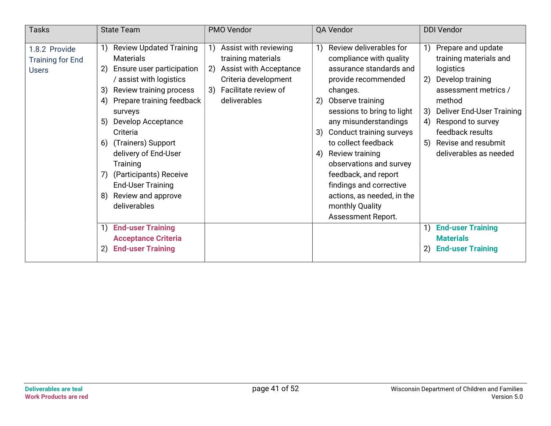| <b>Tasks</b>                                             | <b>State Team</b>                                                                                                                                                                                                                                                                                                                                                                                                | PMO Vendor                                                                                                                                               | QA Vendor                                                                                                                                                                                                                                                                                                                                                                                                                             | <b>DDI Vendor</b>                                                                                                                                                                                                                                           |
|----------------------------------------------------------|------------------------------------------------------------------------------------------------------------------------------------------------------------------------------------------------------------------------------------------------------------------------------------------------------------------------------------------------------------------------------------------------------------------|----------------------------------------------------------------------------------------------------------------------------------------------------------|---------------------------------------------------------------------------------------------------------------------------------------------------------------------------------------------------------------------------------------------------------------------------------------------------------------------------------------------------------------------------------------------------------------------------------------|-------------------------------------------------------------------------------------------------------------------------------------------------------------------------------------------------------------------------------------------------------------|
| 1.8.2 Provide<br><b>Training for End</b><br><b>Users</b> | <b>Review Updated Training</b><br><b>Materials</b><br>Ensure user participation<br>2)<br>/ assist with logistics<br>Review training process<br>3)<br>Prepare training feedback<br>4)<br>surveys<br>Develop Acceptance<br>5)<br>Criteria<br>6) (Trainers) Support<br>delivery of End-User<br><b>Training</b><br>7) (Participants) Receive<br><b>End-User Training</b><br>Review and approve<br>8)<br>deliverables | Assist with reviewing<br>training materials<br><b>Assist with Acceptance</b><br>2)<br>Criteria development<br>Facilitate review of<br>3)<br>deliverables | Review deliverables for<br>compliance with quality<br>assurance standards and<br>provide recommended<br>changes.<br>2) Observe training<br>sessions to bring to light<br>any misunderstandings<br>Conduct training surveys<br>3)<br>to collect feedback<br>Review training<br>4)<br>observations and survey<br>feedback, and report<br>findings and corrective<br>actions, as needed, in the<br>monthly Quality<br>Assessment Report. | Prepare and update<br>training materials and<br>logistics<br>Develop training<br>2)<br>assessment metrics /<br>method<br>Deliver End-User Training<br>3)<br>Respond to survey<br>4)<br>feedback results<br>5) Revise and resubmit<br>deliverables as needed |
|                                                          | <b>End-user Training</b><br><b>Acceptance Criteria</b><br><b>End-user Training</b><br>2)                                                                                                                                                                                                                                                                                                                         |                                                                                                                                                          |                                                                                                                                                                                                                                                                                                                                                                                                                                       | <b>End-user Training</b><br><b>Materials</b><br>2) End-user Training                                                                                                                                                                                        |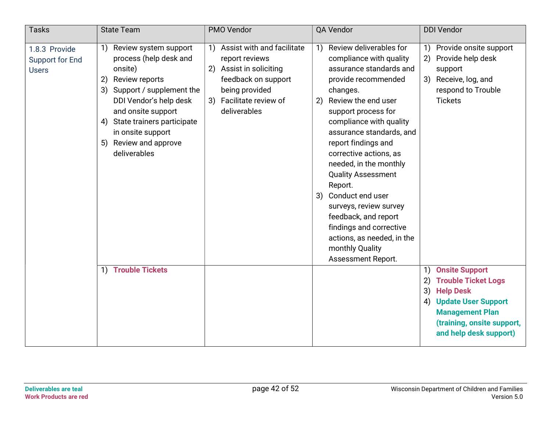| <b>Tasks</b>                                            | <b>State Team</b>                                                                                                                                                                                                                                                      | PMO Vendor                                                                                                                                                        | QA Vendor                                                                                                                                                                                                                                                                                                                                                                                                                                                                                                                       | <b>DDI Vendor</b>                                                                                                                                                                           |
|---------------------------------------------------------|------------------------------------------------------------------------------------------------------------------------------------------------------------------------------------------------------------------------------------------------------------------------|-------------------------------------------------------------------------------------------------------------------------------------------------------------------|---------------------------------------------------------------------------------------------------------------------------------------------------------------------------------------------------------------------------------------------------------------------------------------------------------------------------------------------------------------------------------------------------------------------------------------------------------------------------------------------------------------------------------|---------------------------------------------------------------------------------------------------------------------------------------------------------------------------------------------|
| 1.8.3 Provide<br><b>Support for End</b><br><b>Users</b> | Review system support<br>1)<br>process (help desk and<br>onsite)<br>Review reports<br>2)<br>3) Support / supplement the<br>DDI Vendor's help desk<br>and onsite support<br>4) State trainers participate<br>in onsite support<br>5) Review and approve<br>deliverables | Assist with and facilitate<br>1)<br>report reviews<br>2) Assist in soliciting<br>feedback on support<br>being provided<br>3) Facilitate review of<br>deliverables | Review deliverables for<br>1)<br>compliance with quality<br>assurance standards and<br>provide recommended<br>changes.<br>Review the end user<br>2)<br>support process for<br>compliance with quality<br>assurance standards, and<br>report findings and<br>corrective actions, as<br>needed, in the monthly<br><b>Quality Assessment</b><br>Report.<br>3) Conduct end user<br>surveys, review survey<br>feedback, and report<br>findings and corrective<br>actions, as needed, in the<br>monthly Quality<br>Assessment Report. | 1) Provide onsite support<br>Provide help desk<br>(2)<br>support<br>3) Receive, log, and<br>respond to Trouble<br><b>Tickets</b>                                                            |
|                                                         | 1) Trouble Tickets                                                                                                                                                                                                                                                     |                                                                                                                                                                   |                                                                                                                                                                                                                                                                                                                                                                                                                                                                                                                                 | 1) Onsite Support<br><b>Trouble Ticket Logs</b><br>$\mathbf{2}$<br>3) Help Desk<br>4) Update User Support<br><b>Management Plan</b><br>(training, onsite support,<br>and help desk support) |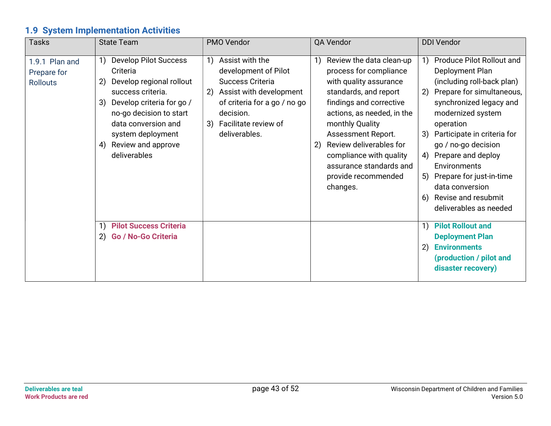## 1.9 System Implementation Activities

| <b>Tasks</b>                                     | <b>State Team</b>                                                                                                                                                                                                                                                                                                                                                        | PMO Vendor                                                                                                                                                                                  | QA Vendor                                                                                                                                                                                                                                                                                                                   | <b>DDI Vendor</b>                                                                                                                                                                                                                                                                                                                                                                                                                                                                                                                                                                           |
|--------------------------------------------------|--------------------------------------------------------------------------------------------------------------------------------------------------------------------------------------------------------------------------------------------------------------------------------------------------------------------------------------------------------------------------|---------------------------------------------------------------------------------------------------------------------------------------------------------------------------------------------|-----------------------------------------------------------------------------------------------------------------------------------------------------------------------------------------------------------------------------------------------------------------------------------------------------------------------------|---------------------------------------------------------------------------------------------------------------------------------------------------------------------------------------------------------------------------------------------------------------------------------------------------------------------------------------------------------------------------------------------------------------------------------------------------------------------------------------------------------------------------------------------------------------------------------------------|
| 1.9.1 Plan and<br>Prepare for<br><b>Rollouts</b> | <b>Develop Pilot Success</b><br>1)<br>Criteria<br>Develop regional rollout<br>2)<br>success criteria.<br>Develop criteria for go /<br>3)<br>no-go decision to start<br>data conversion and<br>system deployment<br>Review and approve<br>4)<br>deliverables<br><b>Pilot Success Criteria</b><br>$\left( \begin{matrix} 1 \end{matrix} \right)$<br>2) Go / No-Go Criteria | Assist with the<br>1)<br>development of Pilot<br>Success Criteria<br>Assist with development<br>2)<br>of criteria for a go / no go<br>decision.<br>3) Facilitate review of<br>deliverables. | Review the data clean-up<br>process for compliance<br>with quality assurance<br>standards, and report<br>findings and corrective<br>actions, as needed, in the<br>monthly Quality<br>Assessment Report.<br>Review deliverables for<br>compliance with quality<br>assurance standards and<br>provide recommended<br>changes. | <b>Produce Pilot Rollout and</b><br>Deployment Plan<br>(including roll-back plan)<br>Prepare for simultaneous,<br>2)<br>synchronized legacy and<br>modernized system<br>operation<br>Participate in criteria for<br>3)<br>go / no-go decision<br>Prepare and deploy<br>4)<br>Environments<br>Prepare for just-in-time<br>5)<br>data conversion<br>Revise and resubmit<br>6)<br>deliverables as needed<br><b>Pilot Rollout and</b><br>$\left( \begin{matrix} 1 \end{matrix} \right)$<br><b>Deployment Plan</b><br><b>Environments</b><br>2)<br>(production / pilot and<br>disaster recovery) |
|                                                  |                                                                                                                                                                                                                                                                                                                                                                          |                                                                                                                                                                                             |                                                                                                                                                                                                                                                                                                                             |                                                                                                                                                                                                                                                                                                                                                                                                                                                                                                                                                                                             |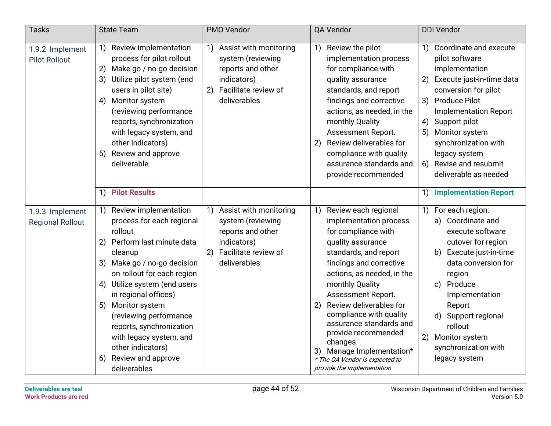| <b>Tasks</b>                               | <b>State Team</b>                                                                                                                                                                                                                                                                                                                                                                                               | PMO Vendor                                                                                                                          | QA Vendor                                                                                                                                                                                                                                                                                                                                                                                                                                          | <b>DDI Vendor</b>                                                                                                                                                                                                                                                                                                          |
|--------------------------------------------|-----------------------------------------------------------------------------------------------------------------------------------------------------------------------------------------------------------------------------------------------------------------------------------------------------------------------------------------------------------------------------------------------------------------|-------------------------------------------------------------------------------------------------------------------------------------|----------------------------------------------------------------------------------------------------------------------------------------------------------------------------------------------------------------------------------------------------------------------------------------------------------------------------------------------------------------------------------------------------------------------------------------------------|----------------------------------------------------------------------------------------------------------------------------------------------------------------------------------------------------------------------------------------------------------------------------------------------------------------------------|
| 1.9.2 Implement<br><b>Pilot Rollout</b>    | Review implementation<br>1)<br>process for pilot rollout<br>Make go / no-go decision<br>2)<br>3)<br>Utilize pilot system (end<br>users in pilot site)<br>Monitor system<br>4)<br>(reviewing performance<br>reports, synchronization<br>with legacy system, and<br>other indicators)<br>Review and approve<br>5)<br>deliverable                                                                                  | Assist with monitoring<br>1)<br>system (reviewing<br>reports and other<br>indicators)<br>Facilitate review of<br>2)<br>deliverables | Review the pilot<br>$\left( \begin{array}{c} 1 \end{array} \right)$<br>implementation process<br>for compliance with<br>quality assurance<br>standards, and report<br>findings and corrective<br>actions, as needed, in the<br>monthly Quality<br>Assessment Report.<br>Review deliverables for<br>2)<br>compliance with quality<br>assurance standards and<br>provide recommended                                                                 | Coordinate and execute<br>1)<br>pilot software<br>implementation<br>Execute just-in-time data<br>2)<br>conversion for pilot<br>3) Produce Pilot<br><b>Implementation Report</b><br>Support pilot<br>4)<br>Monitor system<br>5)<br>synchronization with<br>legacy system<br>6) Revise and resubmit<br>deliverable as needed |
|                                            | <b>Pilot Results</b><br>$\left( \begin{matrix} 1 \end{matrix} \right)$                                                                                                                                                                                                                                                                                                                                          |                                                                                                                                     |                                                                                                                                                                                                                                                                                                                                                                                                                                                    | <b>Implementation Report</b><br>1)                                                                                                                                                                                                                                                                                         |
| 1.9.3 Implement<br><b>Regional Rollout</b> | Review implementation<br>1)<br>process for each regional<br>rollout<br>2) Perform last minute data<br>cleanup<br>Make go / no-go decision<br>3)<br>on rollout for each region<br>Utilize system (end users<br>4)<br>in regional offices)<br>5) Monitor system<br>(reviewing performance<br>reports, synchronization<br>with legacy system, and<br>other indicators)<br>Review and approve<br>6)<br>deliverables | Assist with monitoring<br>1)<br>system (reviewing<br>reports and other<br>indicators)<br>Facilitate review of<br>2)<br>deliverables | Review each regional<br>1)<br>implementation process<br>for compliance with<br>quality assurance<br>standards, and report<br>findings and corrective<br>actions, as needed, in the<br>monthly Quality<br>Assessment Report.<br>Review deliverables for<br>2)<br>compliance with quality<br>assurance standards and<br>provide recommended<br>changes.<br>3) Manage Implementation*<br>* The QA Vendor is expected to<br>provide the Implementation | 1) For each region:<br>a) Coordinate and<br>execute software<br>cutover for region<br>b) Execute just-in-time<br>data conversion for<br>region<br>Produce<br>$\mathsf{c}$<br>Implementation<br>Report<br>d) Support regional<br>rollout<br>2)<br>Monitor system<br>synchronization with<br>legacy system                   |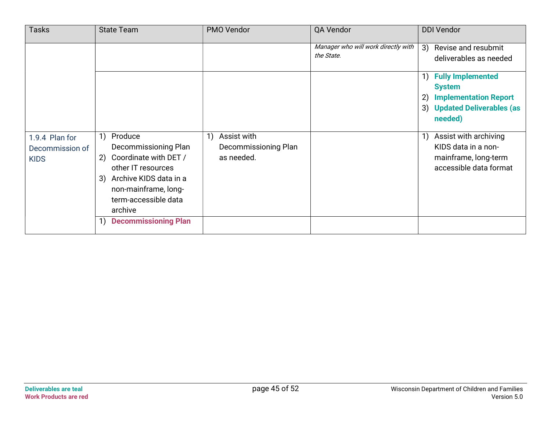| <b>Tasks</b>                                     | <b>State Team</b>                                                                                                                                                                  | PMO Vendor                                              | QA Vendor                                         | <b>DDI Vendor</b>                                                                                                               |
|--------------------------------------------------|------------------------------------------------------------------------------------------------------------------------------------------------------------------------------------|---------------------------------------------------------|---------------------------------------------------|---------------------------------------------------------------------------------------------------------------------------------|
|                                                  |                                                                                                                                                                                    |                                                         | Manager who will work directly with<br>the State. | 3)<br>Revise and resubmit<br>deliverables as needed                                                                             |
|                                                  |                                                                                                                                                                                    |                                                         |                                                   | <b>Fully Implemented</b><br>1)<br><b>System</b><br><b>Implementation Report</b><br>2)<br>3) Updated Deliverables (as<br>needed) |
| 1.9.4 Plan for<br>Decommission of<br><b>KIDS</b> | Produce<br>1)<br>Decommissioning Plan<br>Coordinate with DET /<br>2)<br>other IT resources<br>3) Archive KIDS data in a<br>non-mainframe, long-<br>term-accessible data<br>archive | Assist with<br>1)<br>Decommissioning Plan<br>as needed. |                                                   | Assist with archiving<br>KIDS data in a non-<br>mainframe, long-term<br>accessible data format                                  |
|                                                  | <b>Decommissioning Plan</b>                                                                                                                                                        |                                                         |                                                   |                                                                                                                                 |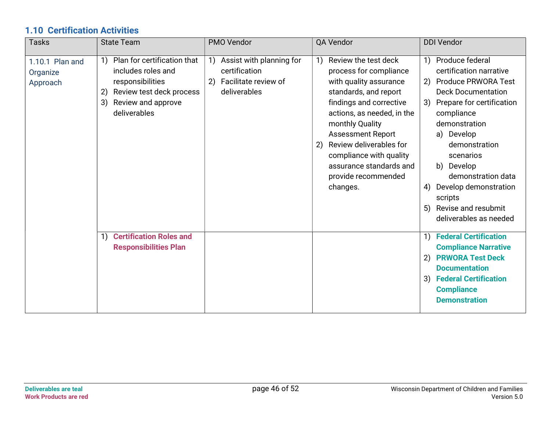### 1.10 Certification Activities

| <b>Tasks</b>                            | <b>State Team</b>                                                                                                                                         | <b>PMO Vendor</b>                                                                             | QA Vendor                                                                                                                                                                                                                                                                                                                                 | <b>DDI Vendor</b>                                                                                                                                                                                                                                                                                                                                           |
|-----------------------------------------|-----------------------------------------------------------------------------------------------------------------------------------------------------------|-----------------------------------------------------------------------------------------------|-------------------------------------------------------------------------------------------------------------------------------------------------------------------------------------------------------------------------------------------------------------------------------------------------------------------------------------------|-------------------------------------------------------------------------------------------------------------------------------------------------------------------------------------------------------------------------------------------------------------------------------------------------------------------------------------------------------------|
| 1.10.1 Plan and<br>Organize<br>Approach | Plan for certification that<br>1)<br>includes roles and<br>responsibilities<br>Review test deck process<br>2)<br>Review and approve<br>3)<br>deliverables | Assist with planning for<br>1)<br>certification<br>Facilitate review of<br>2)<br>deliverables | Review the test deck<br>1)<br>process for compliance<br>with quality assurance<br>standards, and report<br>findings and corrective<br>actions, as needed, in the<br>monthly Quality<br><b>Assessment Report</b><br>Review deliverables for<br>2)<br>compliance with quality<br>assurance standards and<br>provide recommended<br>changes. | 1) Produce federal<br>certification narrative<br><b>Produce PRWORA Test</b><br>2)<br><b>Deck Documentation</b><br>3) Prepare for certification<br>compliance<br>demonstration<br>a) Develop<br>demonstration<br>scenarios<br>b) Develop<br>demonstration data<br>Develop demonstration<br>4)<br>scripts<br>5) Revise and resubmit<br>deliverables as needed |
|                                         | <b>Certification Roles and</b><br>1)<br><b>Responsibilities Plan</b>                                                                                      |                                                                                               |                                                                                                                                                                                                                                                                                                                                           | 1) Federal Certification<br><b>Compliance Narrative</b><br>2) PRWORA Test Deck<br><b>Documentation</b><br>3) Federal Certification<br><b>Compliance</b><br><b>Demonstration</b>                                                                                                                                                                             |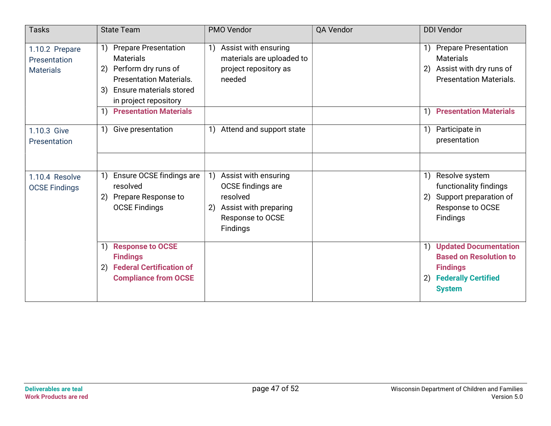| <b>Tasks</b>                                       | <b>State Team</b>                                                                                                                                                                  | PMO Vendor                                                                                                                                                             | QA Vendor | <b>DDI Vendor</b>                                                                                                                                       |
|----------------------------------------------------|------------------------------------------------------------------------------------------------------------------------------------------------------------------------------------|------------------------------------------------------------------------------------------------------------------------------------------------------------------------|-----------|---------------------------------------------------------------------------------------------------------------------------------------------------------|
| 1.10.2 Prepare<br>Presentation<br><b>Materials</b> | <b>Prepare Presentation</b><br>1)<br><b>Materials</b><br>2) Perform dry runs of<br><b>Presentation Materials.</b><br><b>Ensure materials stored</b><br>3)<br>in project repository | Assist with ensuring<br>$\left( \begin{array}{c} 1 \end{array} \right)$<br>materials are uploaded to<br>project repository as<br>needed                                |           | 1) Prepare Presentation<br><b>Materials</b><br>2) Assist with dry runs of<br><b>Presentation Materials.</b>                                             |
|                                                    | <b>Presentation Materials</b><br>1)                                                                                                                                                |                                                                                                                                                                        |           | 1) Presentation Materials                                                                                                                               |
| 1.10.3 Give<br>Presentation                        | Give presentation<br>1)                                                                                                                                                            | Attend and support state<br>1)                                                                                                                                         |           | Participate in<br>1)<br>presentation                                                                                                                    |
|                                                    |                                                                                                                                                                                    |                                                                                                                                                                        |           |                                                                                                                                                         |
| 1.10.4 Resolve<br><b>OCSE Findings</b>             | Ensure OCSE findings are<br>resolved<br>2) Prepare Response to<br><b>OCSE Findings</b>                                                                                             | Assist with ensuring<br>$\left( \begin{matrix} 1 \end{matrix} \right)$<br>OCSE findings are<br>resolved<br>Assist with preparing<br>2)<br>Response to OCSE<br>Findings |           | Resolve system<br>$\left( \begin{matrix} 1 \end{matrix} \right)$<br>functionality findings<br>2) Support preparation of<br>Response to OCSE<br>Findings |
|                                                    | <b>Response to OCSE</b><br>$\left( \begin{matrix} 1 \end{matrix} \right)$<br><b>Findings</b><br>2) Federal Certification of<br><b>Compliance from OCSE</b>                         |                                                                                                                                                                        |           | 1) Updated Documentation<br><b>Based on Resolution to</b><br><b>Findings</b><br><b>Federally Certified</b><br>2)<br><b>System</b>                       |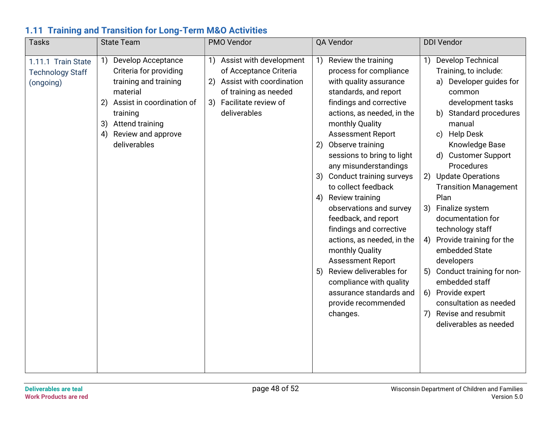#### 1.11 Training and Transition for Long-Term M&O Activities

| Tasks                                                      | <b>State Team</b>                                                                                                                                                                                                  | PMO Vendor                                                                                                                                              | QA Vendor                                                                                                                                                                                                                                                                                                                                                                                                                                                                                                                                                                                                                                                        | <b>DDI Vendor</b>                                                                                                                                                                                                                                                                                                                                                                                                                                                                                                                                                                                     |
|------------------------------------------------------------|--------------------------------------------------------------------------------------------------------------------------------------------------------------------------------------------------------------------|---------------------------------------------------------------------------------------------------------------------------------------------------------|------------------------------------------------------------------------------------------------------------------------------------------------------------------------------------------------------------------------------------------------------------------------------------------------------------------------------------------------------------------------------------------------------------------------------------------------------------------------------------------------------------------------------------------------------------------------------------------------------------------------------------------------------------------|-------------------------------------------------------------------------------------------------------------------------------------------------------------------------------------------------------------------------------------------------------------------------------------------------------------------------------------------------------------------------------------------------------------------------------------------------------------------------------------------------------------------------------------------------------------------------------------------------------|
| 1.11.1 Train State<br><b>Technology Staff</b><br>(ongoing) | <b>Develop Acceptance</b><br>1)<br>Criteria for providing<br>training and training<br>material<br>Assist in coordination of<br>2)<br>training<br>Attend training<br>3)<br>Review and approve<br>4)<br>deliverables | 1) Assist with development<br>of Acceptance Criteria<br>2) Assist with coordination<br>of training as needed<br>3) Facilitate review of<br>deliverables | 1) Review the training<br>process for compliance<br>with quality assurance<br>standards, and report<br>findings and corrective<br>actions, as needed, in the<br>monthly Quality<br><b>Assessment Report</b><br>Observe training<br>2)<br>sessions to bring to light<br>any misunderstandings<br>Conduct training surveys<br>3)<br>to collect feedback<br>4) Review training<br>observations and survey<br>feedback, and report<br>findings and corrective<br>actions, as needed, in the<br>monthly Quality<br><b>Assessment Report</b><br>Review deliverables for<br>5)<br>compliance with quality<br>assurance standards and<br>provide recommended<br>changes. | Develop Technical<br>1)<br>Training, to include:<br>a) Developer guides for<br>common<br>development tasks<br><b>Standard procedures</b><br>b)<br>manual<br>Help Desk<br>c)<br>Knowledge Base<br><b>Customer Support</b><br>d)<br>Procedures<br>2) Update Operations<br><b>Transition Management</b><br>Plan<br>3)<br>Finalize system<br>documentation for<br>technology staff<br>4) Provide training for the<br>embedded State<br>developers<br>Conduct training for non-<br>5)<br>embedded staff<br>6) Provide expert<br>consultation as needed<br>7) Revise and resubmit<br>deliverables as needed |
|                                                            |                                                                                                                                                                                                                    |                                                                                                                                                         |                                                                                                                                                                                                                                                                                                                                                                                                                                                                                                                                                                                                                                                                  |                                                                                                                                                                                                                                                                                                                                                                                                                                                                                                                                                                                                       |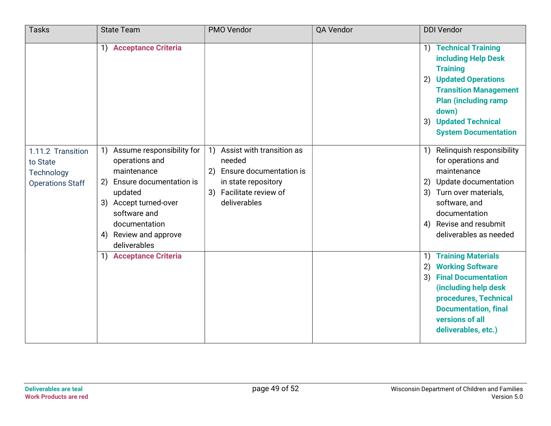| <b>Tasks</b>                                                           | <b>State Team</b>                                                                                                                                                                                               | PMO Vendor                                                                                                                                | QA Vendor | <b>DDI Vendor</b>                                                                                                                                                                                                                  |
|------------------------------------------------------------------------|-----------------------------------------------------------------------------------------------------------------------------------------------------------------------------------------------------------------|-------------------------------------------------------------------------------------------------------------------------------------------|-----------|------------------------------------------------------------------------------------------------------------------------------------------------------------------------------------------------------------------------------------|
|                                                                        | 1) Acceptance Criteria                                                                                                                                                                                          |                                                                                                                                           |           | 1) Technical Training<br>including Help Desk<br><b>Training</b><br>2) Updated Operations<br><b>Transition Management</b><br><b>Plan (including ramp)</b><br>down)<br><b>Updated Technical</b><br>3)<br><b>System Documentation</b> |
| 1.11.2 Transition<br>to State<br>Technology<br><b>Operations Staff</b> | Assume responsibility for<br>1)<br>operations and<br>maintenance<br>Ensure documentation is<br>2)<br>updated<br>3) Accept turned-over<br>software and<br>documentation<br>4) Review and approve<br>deliverables | Assist with transition as<br>1)<br>needed<br>2) Ensure documentation is<br>in state repository<br>3) Facilitate review of<br>deliverables |           | 1) Relinquish responsibility<br>for operations and<br>maintenance<br>2) Update documentation<br>3) Turn over materials,<br>software, and<br>documentation<br>4) Revise and resubmit<br>deliverables as needed                      |
|                                                                        | 1) Acceptance Criteria                                                                                                                                                                                          |                                                                                                                                           |           | <b>Training Materials</b><br>1)<br><b>Working Software</b><br>2)<br><b>Final Documentation</b><br>3)<br>(including help desk<br>procedures, Technical<br><b>Documentation, final</b><br>versions of all<br>deliverables, etc.)     |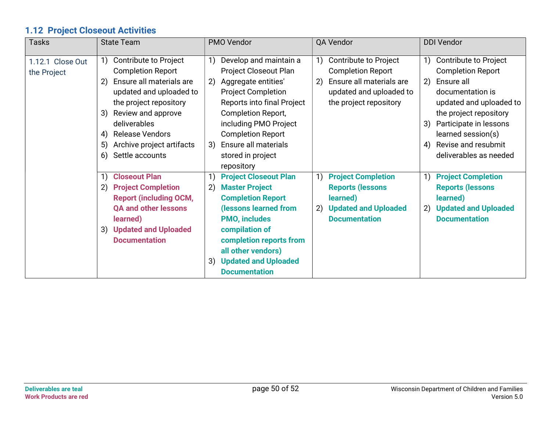## 1.12 Project Closeout Activities

| <b>Tasks</b>                    | <b>State Team</b>                                                                                                                                                                                                                                                      | PMO Vendor                                                                                                                                                                                                                                                                                    | QA Vendor                                                                                                                                      | <b>DDI Vendor</b>                                                                                                                                                                                                                                                 |
|---------------------------------|------------------------------------------------------------------------------------------------------------------------------------------------------------------------------------------------------------------------------------------------------------------------|-----------------------------------------------------------------------------------------------------------------------------------------------------------------------------------------------------------------------------------------------------------------------------------------------|------------------------------------------------------------------------------------------------------------------------------------------------|-------------------------------------------------------------------------------------------------------------------------------------------------------------------------------------------------------------------------------------------------------------------|
| 1.12.1 Close Out<br>the Project | Contribute to Project<br>1)<br><b>Completion Report</b><br>Ensure all materials are<br>2)<br>updated and uploaded to<br>the project repository<br>3) Review and approve<br>deliverables<br>4) Release Vendors<br>Archive project artifacts<br>5)<br>6) Settle accounts | Develop and maintain a<br>1)<br>Project Closeout Plan<br>2) Aggregate entities'<br><b>Project Completion</b><br>Reports into final Project<br><b>Completion Report,</b><br>including PMO Project<br><b>Completion Report</b><br>Ensure all materials<br>3)<br>stored in project<br>repository | Contribute to Project<br>1)<br><b>Completion Report</b><br>Ensure all materials are<br>2)<br>updated and uploaded to<br>the project repository | Contribute to Project<br>1)<br><b>Completion Report</b><br>2)<br>Ensure all<br>documentation is<br>updated and uploaded to<br>the project repository<br>Participate in lessons<br>3)<br>learned session(s)<br>Revise and resubmit<br>4)<br>deliverables as needed |
|                                 | <b>Closeout Plan</b><br>2) Project Completion<br><b>Report (including OCM,</b><br><b>QA and other lessons</b><br>learned)<br>3) Updated and Uploaded<br><b>Documentation</b>                                                                                           | <b>Project Closeout Plan</b><br>1)<br>2)<br><b>Master Project</b><br><b>Completion Report</b><br>(lessons learned from<br><b>PMO, includes</b><br>compilation of<br>completion reports from<br>all other vendors)<br><b>Updated and Uploaded</b><br>3)<br><b>Documentation</b>                | <b>Project Completion</b><br>1)<br><b>Reports (lessons</b><br>learned)<br>2) Updated and Uploaded<br><b>Documentation</b>                      | <b>Project Completion</b><br>1)<br><b>Reports (lessons</b><br>learned)<br><b>Updated and Uploaded</b><br>2)<br><b>Documentation</b>                                                                                                                               |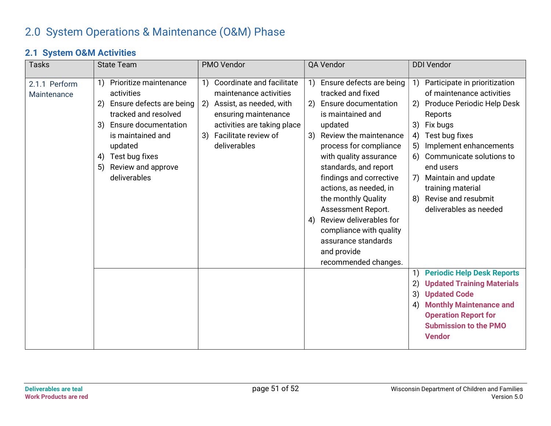# 2.0 System Operations & Maintenance (O&M) Phase

#### 2.1 System O&M Activities

| <b>Tasks</b>                 | <b>State Team</b>                                                                                                                                                                                                                      | PMO Vendor                                                                                                                                                                                | QA Vendor                                                                                                                                                                                                                                                                                                                                                                                                                                                                                              | <b>DDI Vendor</b>                                                                                                                                                                                                                                                                                                                                 |
|------------------------------|----------------------------------------------------------------------------------------------------------------------------------------------------------------------------------------------------------------------------------------|-------------------------------------------------------------------------------------------------------------------------------------------------------------------------------------------|--------------------------------------------------------------------------------------------------------------------------------------------------------------------------------------------------------------------------------------------------------------------------------------------------------------------------------------------------------------------------------------------------------------------------------------------------------------------------------------------------------|---------------------------------------------------------------------------------------------------------------------------------------------------------------------------------------------------------------------------------------------------------------------------------------------------------------------------------------------------|
| 2.1.1 Perform<br>Maintenance | Prioritize maintenance<br>1)<br>activities<br>Ensure defects are being<br>2)<br>tracked and resolved<br>Ensure documentation<br>3)<br>is maintained and<br>updated<br>Test bug fixes<br>4)<br>Review and approve<br>5)<br>deliverables | Coordinate and facilitate<br>1)<br>maintenance activities<br>2) Assist, as needed, with<br>ensuring maintenance<br>activities are taking place<br>3) Facilitate review of<br>deliverables | Ensure defects are being<br>$\left( \begin{matrix} 1 \end{matrix} \right)$<br>tracked and fixed<br>Ensure documentation<br>2)<br>is maintained and<br>updated<br>Review the maintenance<br>3)<br>process for compliance<br>with quality assurance<br>standards, and report<br>findings and corrective<br>actions, as needed, in<br>the monthly Quality<br>Assessment Report.<br>Review deliverables for<br>4)<br>compliance with quality<br>assurance standards<br>and provide<br>recommended changes. | Participate in prioritization<br>1)<br>of maintenance activities<br>Produce Periodic Help Desk<br>2)<br>Reports<br>Fix bugs<br>3)<br>Test bug fixes<br>4)<br>Implement enhancements<br>5)<br>Communicate solutions to<br>6)<br>end users<br>Maintain and update<br>7)<br>training material<br>Revise and resubmit<br>8)<br>deliverables as needed |
|                              |                                                                                                                                                                                                                                        |                                                                                                                                                                                           |                                                                                                                                                                                                                                                                                                                                                                                                                                                                                                        | <b>Periodic Help Desk Reports</b><br>1)<br><b>Updated Training Materials</b><br>2)<br><b>Updated Code</b><br>3)<br><b>Monthly Maintenance and</b><br>4)<br><b>Operation Report for</b><br><b>Submission to the PMO</b><br><b>Vendor</b>                                                                                                           |